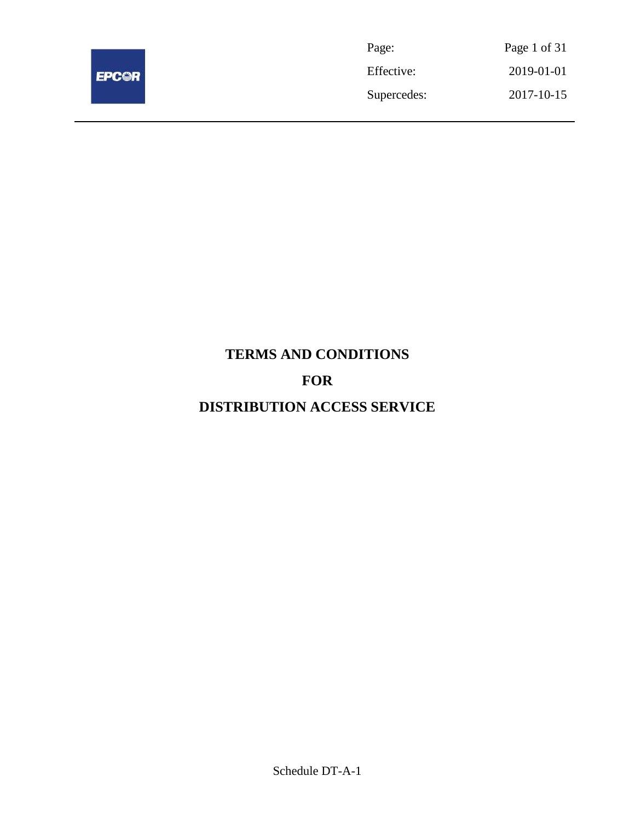

| Page:       | Page 1 of 31 |
|-------------|--------------|
| Effective:  | 2019-01-01   |
| Supercedes: | 2017-10-15   |

# **TERMS AND CONDITIONS FOR DISTRIBUTION ACCESS SERVICE**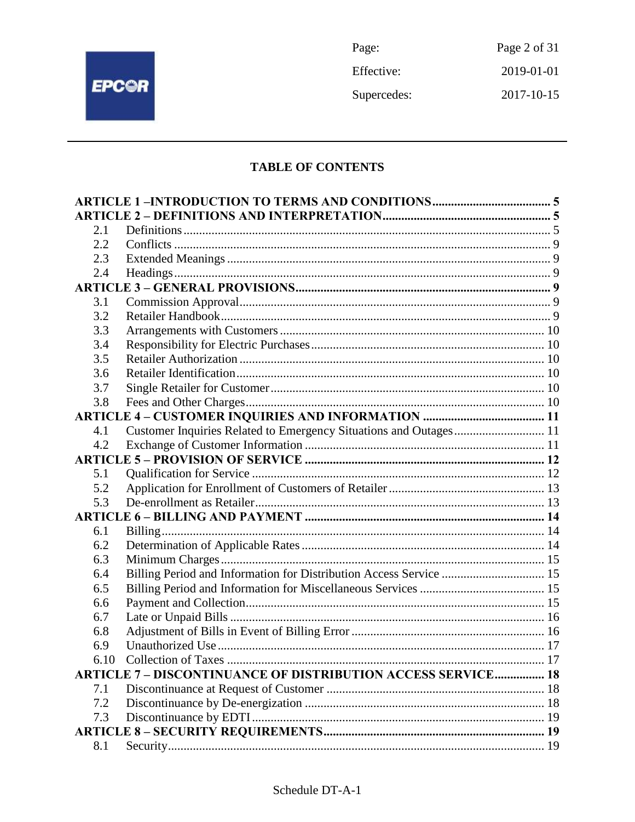

Page: Page 2 of 31 Effective: 2019-01-01 Supercedes: 2017-10-15

# **TABLE OF CONTENTS**

| 2.1 |                                                                    |  |
|-----|--------------------------------------------------------------------|--|
| 2.2 |                                                                    |  |
| 2.3 |                                                                    |  |
| 2.4 |                                                                    |  |
|     |                                                                    |  |
| 3.1 |                                                                    |  |
| 3.2 |                                                                    |  |
| 3.3 |                                                                    |  |
| 3.4 |                                                                    |  |
| 3.5 |                                                                    |  |
| 3.6 |                                                                    |  |
| 3.7 |                                                                    |  |
| 3.8 |                                                                    |  |
|     |                                                                    |  |
| 4.1 | Customer Inquiries Related to Emergency Situations and Outages 11  |  |
| 4.2 |                                                                    |  |
|     |                                                                    |  |
| 5.1 |                                                                    |  |
| 5.2 |                                                                    |  |
| 5.3 |                                                                    |  |
|     |                                                                    |  |
| 6.1 |                                                                    |  |
| 6.2 |                                                                    |  |
| 6.3 |                                                                    |  |
| 6.4 | Billing Period and Information for Distribution Access Service  15 |  |
| 6.5 |                                                                    |  |
| 6.6 |                                                                    |  |
| 6.7 |                                                                    |  |
| 6.8 |                                                                    |  |
| 6.9 |                                                                    |  |
|     |                                                                    |  |
|     | <b>ARTICLE 7- DISCONTINUANCE OF DISTRIBUTION ACCESS SERVICE 18</b> |  |
| 7.1 |                                                                    |  |
| 7.2 |                                                                    |  |
| 7.3 |                                                                    |  |
|     |                                                                    |  |
| 8.1 |                                                                    |  |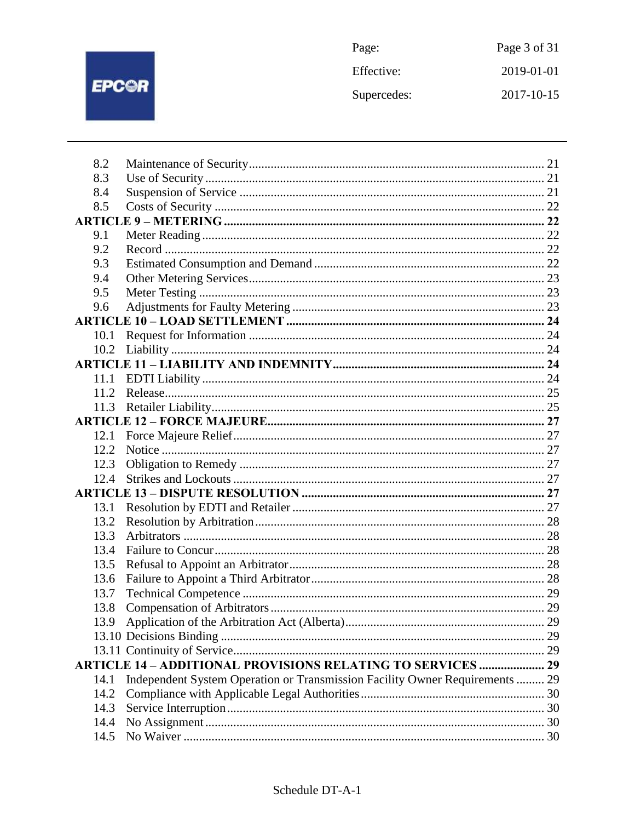

| Page:       | Page 3 of 31 |
|-------------|--------------|
| Effective:  | 2019-01-01   |
| Supercedes: | 2017-10-15   |

| 8.2  |                                                                              |  |
|------|------------------------------------------------------------------------------|--|
| 8.3  |                                                                              |  |
| 8.4  |                                                                              |  |
| 8.5  |                                                                              |  |
|      |                                                                              |  |
| 9.1  |                                                                              |  |
| 9.2  |                                                                              |  |
| 9.3  |                                                                              |  |
| 9.4  |                                                                              |  |
| 9.5  |                                                                              |  |
| 9.6  |                                                                              |  |
|      |                                                                              |  |
| 10.1 |                                                                              |  |
| 10.2 |                                                                              |  |
|      |                                                                              |  |
| 11.1 |                                                                              |  |
| 11.2 |                                                                              |  |
|      |                                                                              |  |
|      |                                                                              |  |
| 12.1 |                                                                              |  |
| 12.2 |                                                                              |  |
| 12.3 |                                                                              |  |
| 12.4 |                                                                              |  |
|      |                                                                              |  |
| 13.1 |                                                                              |  |
| 13.2 |                                                                              |  |
| 13.3 |                                                                              |  |
| 13.4 |                                                                              |  |
| 13.5 |                                                                              |  |
| 13.6 |                                                                              |  |
| 13.7 |                                                                              |  |
| 13.8 |                                                                              |  |
| 13.9 |                                                                              |  |
|      |                                                                              |  |
|      |                                                                              |  |
|      | <b>ARTICLE 14 - ADDITIONAL PROVISIONS RELATING TO SERVICES  29</b>           |  |
| 14.1 | Independent System Operation or Transmission Facility Owner Requirements  29 |  |
| 14.2 |                                                                              |  |
| 14.3 |                                                                              |  |
| 14.4 |                                                                              |  |
| 14.5 |                                                                              |  |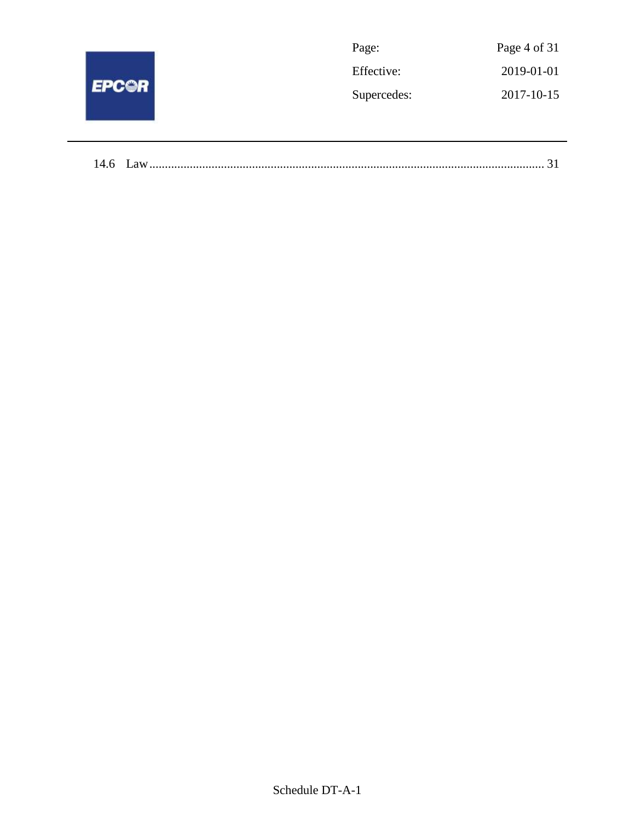| <b>EPC@R</b> | Page:       | Page 4 of 31 |
|--------------|-------------|--------------|
|              | Effective:  | 2019-01-01   |
|              | Supercedes: | 2017-10-15   |
|              |             |              |
|              |             |              |

| 14.6 |  |  |
|------|--|--|
|------|--|--|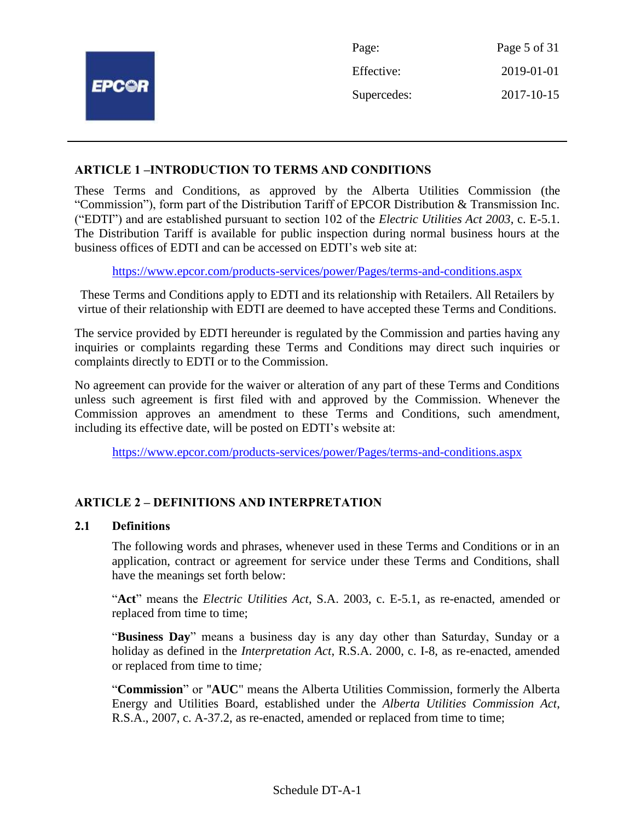|              | Page:       | Page 5 of 31 |
|--------------|-------------|--------------|
|              | Effective:  | 2019-01-01   |
| <b>EPC@R</b> | Supercedes: | 2017-10-15   |
|              |             |              |

## **ARTICLE 1 –INTRODUCTION TO TERMS AND CONDITIONS**

These Terms and Conditions, as approved by the Alberta Utilities Commission (the "Commission"), form part of the Distribution Tariff of EPCOR Distribution & Transmission Inc. ("EDTI") and are established pursuant to section 102 of the *Electric Utilities Act 2003*, c. E-5.1. The Distribution Tariff is available for public inspection during normal business hours at the business offices of EDTI and can be accessed on EDTI's web site at:

<https://www.epcor.com/products-services/power/Pages/terms-and-conditions.aspx>

These Terms and Conditions apply to EDTI and its relationship with Retailers. All Retailers by virtue of their relationship with EDTI are deemed to have accepted these Terms and Conditions.

The service provided by EDTI hereunder is regulated by the Commission and parties having any inquiries or complaints regarding these Terms and Conditions may direct such inquiries or complaints directly to EDTI or to the Commission.

No agreement can provide for the waiver or alteration of any part of these Terms and Conditions unless such agreement is first filed with and approved by the Commission. Whenever the Commission approves an amendment to these Terms and Conditions, such amendment, including its effective date, will be posted on EDTI's website at:

<https://www.epcor.com/products-services/power/Pages/terms-and-conditions.aspx>

# **ARTICLE 2 – DEFINITIONS AND INTERPRETATION**

#### **2.1 Definitions**

The following words and phrases, whenever used in these Terms and Conditions or in an application, contract or agreement for service under these Terms and Conditions, shall have the meanings set forth below:

"**Act**" means the *Electric Utilities Act*, S.A. 2003, c. E-5.1, as re-enacted, amended or replaced from time to time;

"**Business Day**" means a business day is any day other than Saturday, Sunday or a holiday as defined in the *Interpretation Act*, R.S.A. 2000, c. I-8, as re-enacted, amended or replaced from time to time*;*

"**Commission**" or "**AUC**" means the Alberta Utilities Commission, formerly the Alberta Energy and Utilities Board, established under the *Alberta Utilities Commission Act*, R.S.A., 2007, c. A-37.2, as re-enacted, amended or replaced from time to time;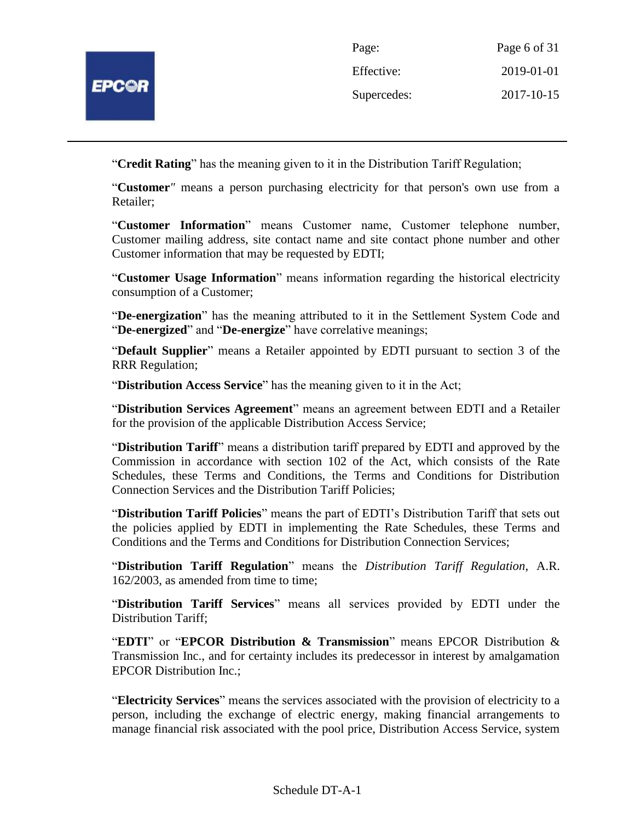

| Page:       | Page 6 of 31 |
|-------------|--------------|
| Effective:  | 2019-01-01   |
| Supercedes: | 2017-10-15   |

"**Credit Rating**" has the meaning given to it in the Distribution Tariff Regulation;

"**Customer***"* means a person purchasing electricity for that person's own use from a Retailer;

"**Customer Information**" means Customer name, Customer telephone number, Customer mailing address, site contact name and site contact phone number and other Customer information that may be requested by EDTI;

"**Customer Usage Information**" means information regarding the historical electricity consumption of a Customer;

"**De-energization**" has the meaning attributed to it in the Settlement System Code and "**De-energized**" and "**De-energize**" have correlative meanings;

"**Default Supplier**" means a Retailer appointed by EDTI pursuant to section 3 of the RRR Regulation;

"**Distribution Access Service**" has the meaning given to it in the Act;

"**Distribution Services Agreement**" means an agreement between EDTI and a Retailer for the provision of the applicable Distribution Access Service;

"**Distribution Tariff**" means a distribution tariff prepared by EDTI and approved by the Commission in accordance with section 102 of the Act, which consists of the Rate Schedules, these Terms and Conditions, the Terms and Conditions for Distribution Connection Services and the Distribution Tariff Policies;

"**Distribution Tariff Policies**" means the part of EDTI's Distribution Tariff that sets out the policies applied by EDTI in implementing the Rate Schedules, these Terms and Conditions and the Terms and Conditions for Distribution Connection Services;

"**Distribution Tariff Regulation**" means the *Distribution Tariff Regulation*, A.R. 162/2003, as amended from time to time;

"**Distribution Tariff Services**" means all services provided by EDTI under the Distribution Tariff;

"**EDTI**" or "**EPCOR Distribution & Transmission**" means EPCOR Distribution & Transmission Inc., and for certainty includes its predecessor in interest by amalgamation EPCOR Distribution Inc.;

"**Electricity Services**" means the services associated with the provision of electricity to a person, including the exchange of electric energy, making financial arrangements to manage financial risk associated with the pool price, Distribution Access Service, system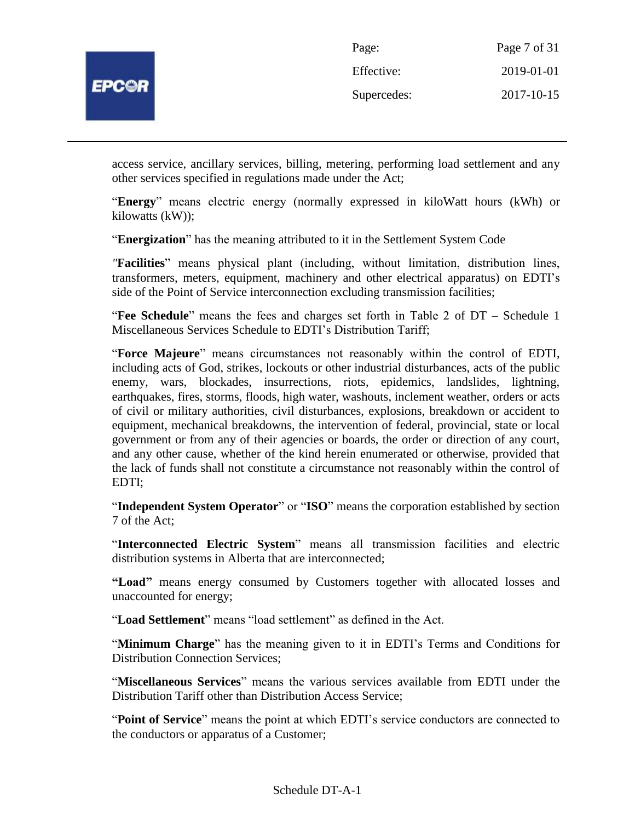

| Page:       | Page 7 of 31 |
|-------------|--------------|
| Effective:  | 2019-01-01   |
| Supercedes: | 2017-10-15   |

access service, ancillary services, billing, metering, performing load settlement and any other services specified in regulations made under the Act;

"**Energy**" means electric energy (normally expressed in kiloWatt hours (kWh) or kilowatts (kW));

"**Energization**" has the meaning attributed to it in the Settlement System Code

*"***Facilities**" means physical plant (including, without limitation, distribution lines, transformers, meters, equipment, machinery and other electrical apparatus) on EDTI's side of the Point of Service interconnection excluding transmission facilities;

"**Fee Schedule**" means the fees and charges set forth in Table 2 of DT – Schedule 1 Miscellaneous Services Schedule to EDTI's Distribution Tariff;

"**Force Majeure**" means circumstances not reasonably within the control of EDTI, including acts of God, strikes, lockouts or other industrial disturbances, acts of the public enemy, wars, blockades, insurrections, riots, epidemics, landslides, lightning, earthquakes, fires, storms, floods, high water, washouts, inclement weather, orders or acts of civil or military authorities, civil disturbances, explosions, breakdown or accident to equipment, mechanical breakdowns, the intervention of federal, provincial, state or local government or from any of their agencies or boards, the order or direction of any court, and any other cause, whether of the kind herein enumerated or otherwise, provided that the lack of funds shall not constitute a circumstance not reasonably within the control of EDTI;

"**Independent System Operator**" or "**ISO**" means the corporation established by section 7 of the Act;

"**Interconnected Electric System**" means all transmission facilities and electric distribution systems in Alberta that are interconnected;

**"Load"** means energy consumed by Customers together with allocated losses and unaccounted for energy;

"**Load Settlement**" means "load settlement" as defined in the Act.

"**Minimum Charge**" has the meaning given to it in EDTI's Terms and Conditions for Distribution Connection Services;

"**Miscellaneous Services**" means the various services available from EDTI under the Distribution Tariff other than Distribution Access Service;

"**Point of Service**" means the point at which EDTI's service conductors are connected to the conductors or apparatus of a Customer;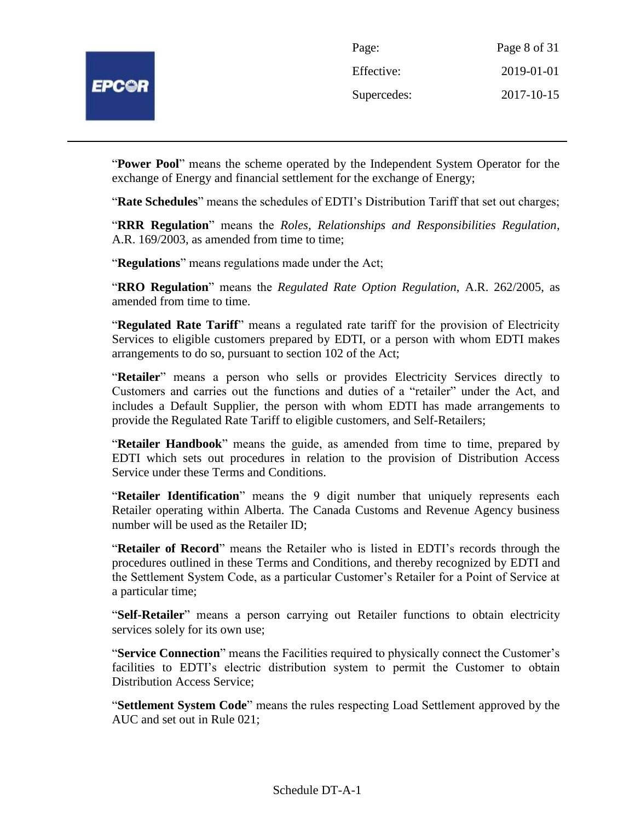

| Page:       | Page 8 of 31 |
|-------------|--------------|
| Effective:  | 2019-01-01   |
| Supercedes: | 2017-10-15   |

"**Power Pool**" means the scheme operated by the Independent System Operator for the exchange of Energy and financial settlement for the exchange of Energy;

"**Rate Schedules**" means the schedules of EDTI's Distribution Tariff that set out charges;

"**RRR Regulation**" means the *Roles, Relationships and Responsibilities Regulation*, A.R. 169/2003, as amended from time to time;

"**Regulations**" means regulations made under the Act;

"**RRO Regulation**" means the *Regulated Rate Option Regulation*, A.R. 262/2005, as amended from time to time.

"**Regulated Rate Tariff**" means a regulated rate tariff for the provision of Electricity Services to eligible customers prepared by EDTI, or a person with whom EDTI makes arrangements to do so, pursuant to section 102 of the Act;

"**Retailer**" means a person who sells or provides Electricity Services directly to Customers and carries out the functions and duties of a "retailer" under the Act, and includes a Default Supplier, the person with whom EDTI has made arrangements to provide the Regulated Rate Tariff to eligible customers, and Self-Retailers;

"**Retailer Handbook**" means the guide, as amended from time to time, prepared by EDTI which sets out procedures in relation to the provision of Distribution Access Service under these Terms and Conditions.

"**Retailer Identification**" means the 9 digit number that uniquely represents each Retailer operating within Alberta. The Canada Customs and Revenue Agency business number will be used as the Retailer ID;

"**Retailer of Record**" means the Retailer who is listed in EDTI's records through the procedures outlined in these Terms and Conditions, and thereby recognized by EDTI and the Settlement System Code, as a particular Customer's Retailer for a Point of Service at a particular time;

"**Self-Retailer**" means a person carrying out Retailer functions to obtain electricity services solely for its own use;

"**Service Connection**" means the Facilities required to physically connect the Customer's facilities to EDTI's electric distribution system to permit the Customer to obtain Distribution Access Service;

"**Settlement System Code**" means the rules respecting Load Settlement approved by the AUC and set out in Rule 021;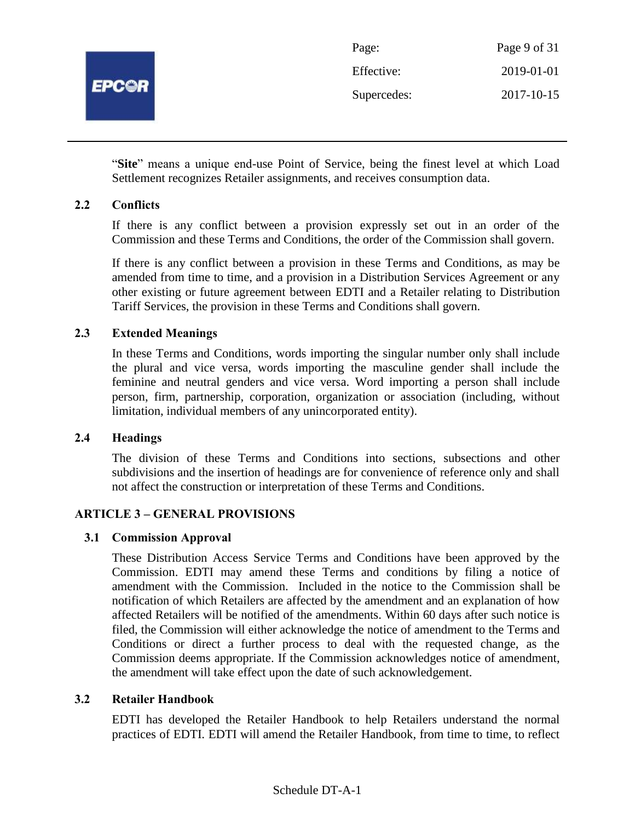

| Page:       | Page 9 of 31 |
|-------------|--------------|
| Effective:  | 2019-01-01   |
| Supercedes: | 2017-10-15   |

"**Site**" means a unique end-use Point of Service, being the finest level at which Load Settlement recognizes Retailer assignments, and receives consumption data.

## **2.2 Conflicts**

If there is any conflict between a provision expressly set out in an order of the Commission and these Terms and Conditions, the order of the Commission shall govern.

If there is any conflict between a provision in these Terms and Conditions, as may be amended from time to time, and a provision in a Distribution Services Agreement or any other existing or future agreement between EDTI and a Retailer relating to Distribution Tariff Services, the provision in these Terms and Conditions shall govern.

## **2.3 Extended Meanings**

In these Terms and Conditions, words importing the singular number only shall include the plural and vice versa, words importing the masculine gender shall include the feminine and neutral genders and vice versa. Word importing a person shall include person, firm, partnership, corporation, organization or association (including, without limitation, individual members of any unincorporated entity).

#### **2.4 Headings**

The division of these Terms and Conditions into sections, subsections and other subdivisions and the insertion of headings are for convenience of reference only and shall not affect the construction or interpretation of these Terms and Conditions.

# **ARTICLE 3 – GENERAL PROVISIONS**

#### **3.1 Commission Approval**

These Distribution Access Service Terms and Conditions have been approved by the Commission. EDTI may amend these Terms and conditions by filing a notice of amendment with the Commission. Included in the notice to the Commission shall be notification of which Retailers are affected by the amendment and an explanation of how affected Retailers will be notified of the amendments. Within 60 days after such notice is filed, the Commission will either acknowledge the notice of amendment to the Terms and Conditions or direct a further process to deal with the requested change, as the Commission deems appropriate. If the Commission acknowledges notice of amendment, the amendment will take effect upon the date of such acknowledgement.

#### **3.2 Retailer Handbook**

EDTI has developed the Retailer Handbook to help Retailers understand the normal practices of EDTI. EDTI will amend the Retailer Handbook, from time to time, to reflect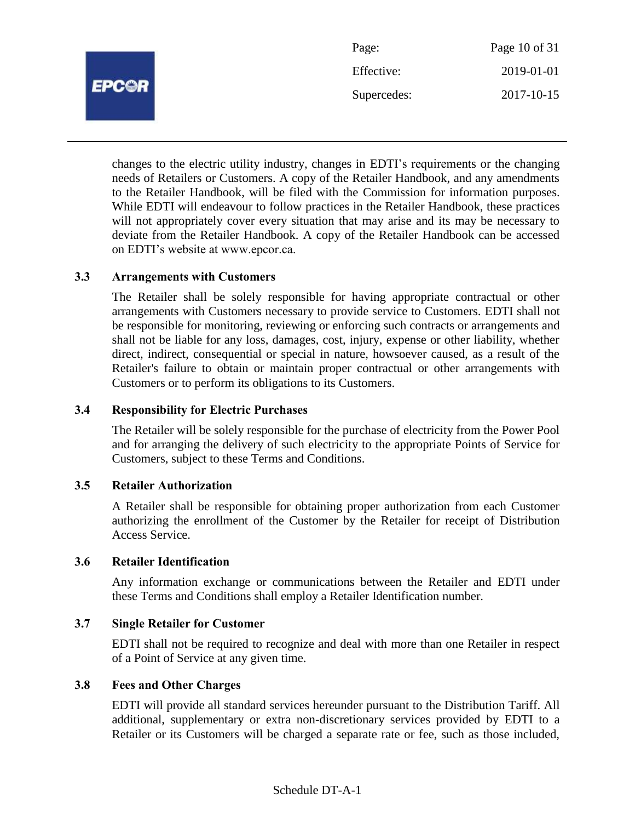

changes to the electric utility industry, changes in EDTI's requirements or the changing needs of Retailers or Customers. A copy of the Retailer Handbook, and any amendments to the Retailer Handbook, will be filed with the Commission for information purposes. While EDTI will endeavour to follow practices in the Retailer Handbook, these practices will not appropriately cover every situation that may arise and its may be necessary to deviate from the Retailer Handbook. A copy of the Retailer Handbook can be accessed on EDTI's website at www.epcor.ca.

#### **3.3 Arrangements with Customers**

The Retailer shall be solely responsible for having appropriate contractual or other arrangements with Customers necessary to provide service to Customers. EDTI shall not be responsible for monitoring, reviewing or enforcing such contracts or arrangements and shall not be liable for any loss, damages, cost, injury, expense or other liability, whether direct, indirect, consequential or special in nature, howsoever caused, as a result of the Retailer's failure to obtain or maintain proper contractual or other arrangements with Customers or to perform its obligations to its Customers.

#### **3.4 Responsibility for Electric Purchases**

The Retailer will be solely responsible for the purchase of electricity from the Power Pool and for arranging the delivery of such electricity to the appropriate Points of Service for Customers, subject to these Terms and Conditions.

#### **3.5 Retailer Authorization**

A Retailer shall be responsible for obtaining proper authorization from each Customer authorizing the enrollment of the Customer by the Retailer for receipt of Distribution Access Service.

### **3.6 Retailer Identification**

Any information exchange or communications between the Retailer and EDTI under these Terms and Conditions shall employ a Retailer Identification number.

#### **3.7 Single Retailer for Customer**

EDTI shall not be required to recognize and deal with more than one Retailer in respect of a Point of Service at any given time.

## **3.8 Fees and Other Charges**

EDTI will provide all standard services hereunder pursuant to the Distribution Tariff. All additional, supplementary or extra non-discretionary services provided by EDTI to a Retailer or its Customers will be charged a separate rate or fee, such as those included,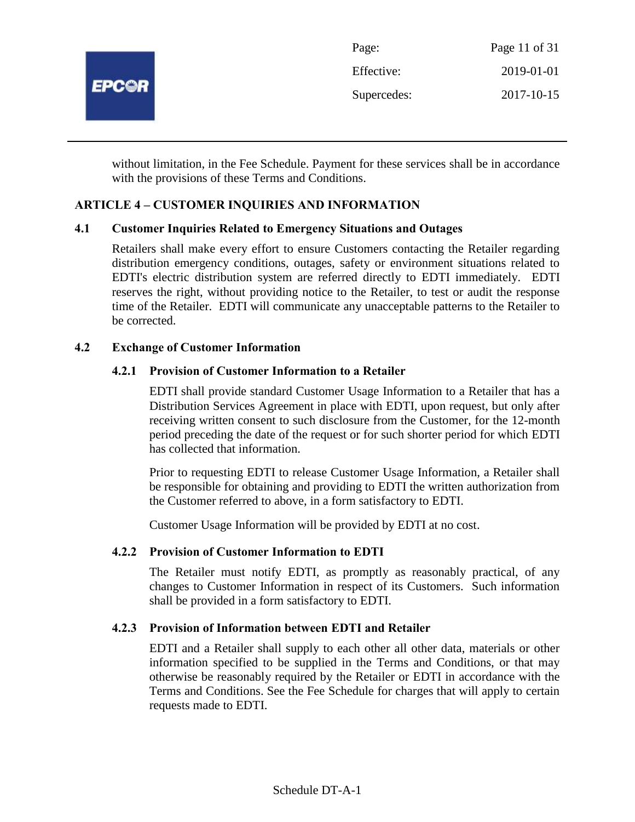

without limitation, in the Fee Schedule. Payment for these services shall be in accordance with the provisions of these Terms and Conditions.

# **ARTICLE 4 – CUSTOMER INQUIRIES AND INFORMATION**

#### **4.1 Customer Inquiries Related to Emergency Situations and Outages**

Retailers shall make every effort to ensure Customers contacting the Retailer regarding distribution emergency conditions, outages, safety or environment situations related to EDTI's electric distribution system are referred directly to EDTI immediately. EDTI reserves the right, without providing notice to the Retailer, to test or audit the response time of the Retailer. EDTI will communicate any unacceptable patterns to the Retailer to be corrected.

#### **4.2 Exchange of Customer Information**

#### **4.2.1 Provision of Customer Information to a Retailer**

EDTI shall provide standard Customer Usage Information to a Retailer that has a Distribution Services Agreement in place with EDTI, upon request, but only after receiving written consent to such disclosure from the Customer, for the 12-month period preceding the date of the request or for such shorter period for which EDTI has collected that information.

Prior to requesting EDTI to release Customer Usage Information, a Retailer shall be responsible for obtaining and providing to EDTI the written authorization from the Customer referred to above, in a form satisfactory to EDTI.

Customer Usage Information will be provided by EDTI at no cost.

#### **4.2.2 Provision of Customer Information to EDTI**

The Retailer must notify EDTI, as promptly as reasonably practical, of any changes to Customer Information in respect of its Customers. Such information shall be provided in a form satisfactory to EDTI.

#### **4.2.3 Provision of Information between EDTI and Retailer**

EDTI and a Retailer shall supply to each other all other data, materials or other information specified to be supplied in the Terms and Conditions, or that may otherwise be reasonably required by the Retailer or EDTI in accordance with the Terms and Conditions. See the Fee Schedule for charges that will apply to certain requests made to EDTI.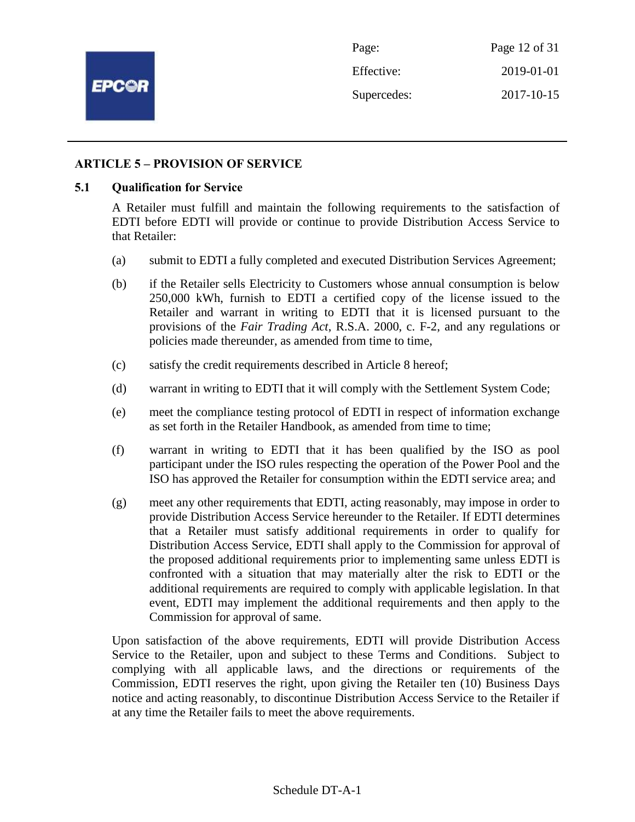

## **ARTICLE 5 – PROVISION OF SERVICE**

#### **5.1 Qualification for Service**

A Retailer must fulfill and maintain the following requirements to the satisfaction of EDTI before EDTI will provide or continue to provide Distribution Access Service to that Retailer:

- (a) submit to EDTI a fully completed and executed Distribution Services Agreement;
- (b) if the Retailer sells Electricity to Customers whose annual consumption is below 250,000 kWh, furnish to EDTI a certified copy of the license issued to the Retailer and warrant in writing to EDTI that it is licensed pursuant to the provisions of the *Fair Trading Act*, R.S.A. 2000, c. F-2, and any regulations or policies made thereunder, as amended from time to time,
- (c) satisfy the credit requirements described in Article 8 hereof;
- (d) warrant in writing to EDTI that it will comply with the Settlement System Code;
- (e) meet the compliance testing protocol of EDTI in respect of information exchange as set forth in the Retailer Handbook, as amended from time to time;
- (f) warrant in writing to EDTI that it has been qualified by the ISO as pool participant under the ISO rules respecting the operation of the Power Pool and the ISO has approved the Retailer for consumption within the EDTI service area; and
- (g) meet any other requirements that EDTI, acting reasonably, may impose in order to provide Distribution Access Service hereunder to the Retailer. If EDTI determines that a Retailer must satisfy additional requirements in order to qualify for Distribution Access Service, EDTI shall apply to the Commission for approval of the proposed additional requirements prior to implementing same unless EDTI is confronted with a situation that may materially alter the risk to EDTI or the additional requirements are required to comply with applicable legislation. In that event, EDTI may implement the additional requirements and then apply to the Commission for approval of same.

Upon satisfaction of the above requirements, EDTI will provide Distribution Access Service to the Retailer, upon and subject to these Terms and Conditions. Subject to complying with all applicable laws, and the directions or requirements of the Commission, EDTI reserves the right, upon giving the Retailer ten (10) Business Days notice and acting reasonably, to discontinue Distribution Access Service to the Retailer if at any time the Retailer fails to meet the above requirements.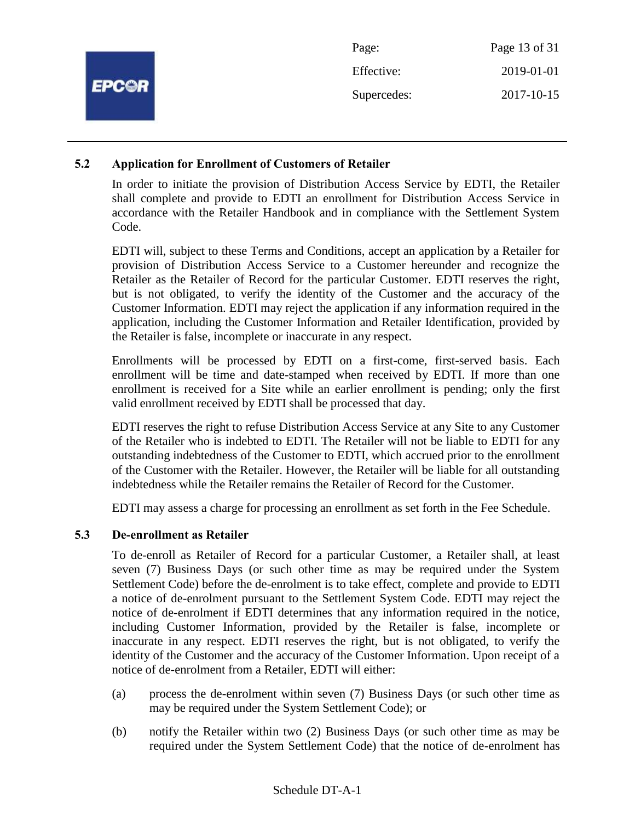|              | Page:       | Page 13 of 31 |
|--------------|-------------|---------------|
|              | Effective:  | 2019-01-01    |
| <b>EPC@R</b> | Supercedes: | 2017-10-15    |
|              |             |               |

## **5.2 Application for Enrollment of Customers of Retailer**

In order to initiate the provision of Distribution Access Service by EDTI, the Retailer shall complete and provide to EDTI an enrollment for Distribution Access Service in accordance with the Retailer Handbook and in compliance with the Settlement System Code.

EDTI will, subject to these Terms and Conditions, accept an application by a Retailer for provision of Distribution Access Service to a Customer hereunder and recognize the Retailer as the Retailer of Record for the particular Customer. EDTI reserves the right, but is not obligated, to verify the identity of the Customer and the accuracy of the Customer Information. EDTI may reject the application if any information required in the application, including the Customer Information and Retailer Identification, provided by the Retailer is false, incomplete or inaccurate in any respect.

Enrollments will be processed by EDTI on a first-come, first-served basis. Each enrollment will be time and date-stamped when received by EDTI. If more than one enrollment is received for a Site while an earlier enrollment is pending; only the first valid enrollment received by EDTI shall be processed that day.

EDTI reserves the right to refuse Distribution Access Service at any Site to any Customer of the Retailer who is indebted to EDTI. The Retailer will not be liable to EDTI for any outstanding indebtedness of the Customer to EDTI, which accrued prior to the enrollment of the Customer with the Retailer. However, the Retailer will be liable for all outstanding indebtedness while the Retailer remains the Retailer of Record for the Customer.

EDTI may assess a charge for processing an enrollment as set forth in the Fee Schedule.

# **5.3 De-enrollment as Retailer**

To de-enroll as Retailer of Record for a particular Customer, a Retailer shall, at least seven (7) Business Days (or such other time as may be required under the System Settlement Code) before the de-enrolment is to take effect, complete and provide to EDTI a notice of de-enrolment pursuant to the Settlement System Code. EDTI may reject the notice of de-enrolment if EDTI determines that any information required in the notice, including Customer Information, provided by the Retailer is false, incomplete or inaccurate in any respect. EDTI reserves the right, but is not obligated, to verify the identity of the Customer and the accuracy of the Customer Information. Upon receipt of a notice of de-enrolment from a Retailer, EDTI will either:

- (a) process the de-enrolment within seven (7) Business Days (or such other time as may be required under the System Settlement Code); or
- (b) notify the Retailer within two (2) Business Days (or such other time as may be required under the System Settlement Code) that the notice of de-enrolment has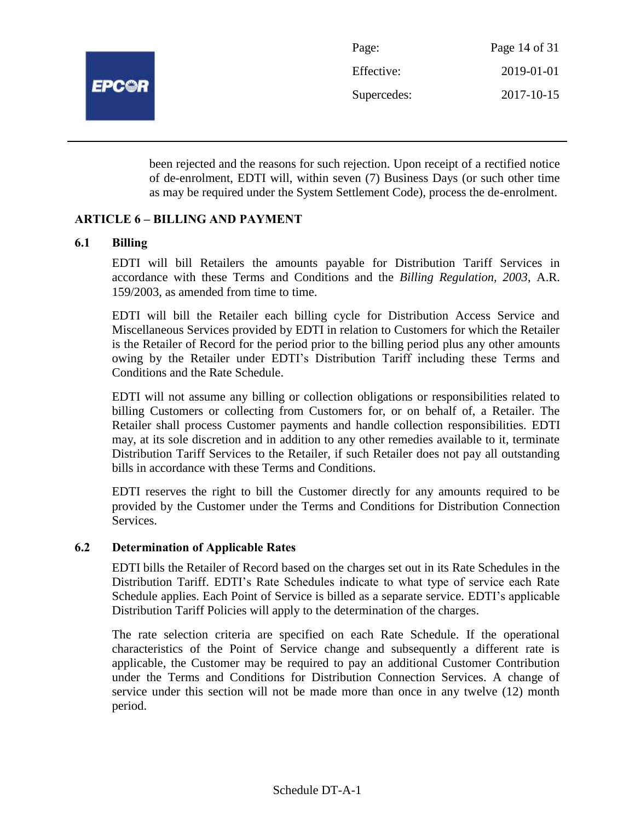

been rejected and the reasons for such rejection. Upon receipt of a rectified notice of de-enrolment, EDTI will, within seven (7) Business Days (or such other time as may be required under the System Settlement Code), process the de-enrolment.

## **ARTICLE 6 – BILLING AND PAYMENT**

#### **6.1 Billing**

EDTI will bill Retailers the amounts payable for Distribution Tariff Services in accordance with these Terms and Conditions and the *Billing Regulation, 2003*, A.R. 159/2003, as amended from time to time.

EDTI will bill the Retailer each billing cycle for Distribution Access Service and Miscellaneous Services provided by EDTI in relation to Customers for which the Retailer is the Retailer of Record for the period prior to the billing period plus any other amounts owing by the Retailer under EDTI's Distribution Tariff including these Terms and Conditions and the Rate Schedule.

EDTI will not assume any billing or collection obligations or responsibilities related to billing Customers or collecting from Customers for, or on behalf of, a Retailer. The Retailer shall process Customer payments and handle collection responsibilities. EDTI may, at its sole discretion and in addition to any other remedies available to it, terminate Distribution Tariff Services to the Retailer, if such Retailer does not pay all outstanding bills in accordance with these Terms and Conditions.

EDTI reserves the right to bill the Customer directly for any amounts required to be provided by the Customer under the Terms and Conditions for Distribution Connection Services.

#### **6.2 Determination of Applicable Rates**

EDTI bills the Retailer of Record based on the charges set out in its Rate Schedules in the Distribution Tariff. EDTI's Rate Schedules indicate to what type of service each Rate Schedule applies. Each Point of Service is billed as a separate service. EDTI's applicable Distribution Tariff Policies will apply to the determination of the charges.

The rate selection criteria are specified on each Rate Schedule. If the operational characteristics of the Point of Service change and subsequently a different rate is applicable, the Customer may be required to pay an additional Customer Contribution under the Terms and Conditions for Distribution Connection Services. A change of service under this section will not be made more than once in any twelve (12) month period.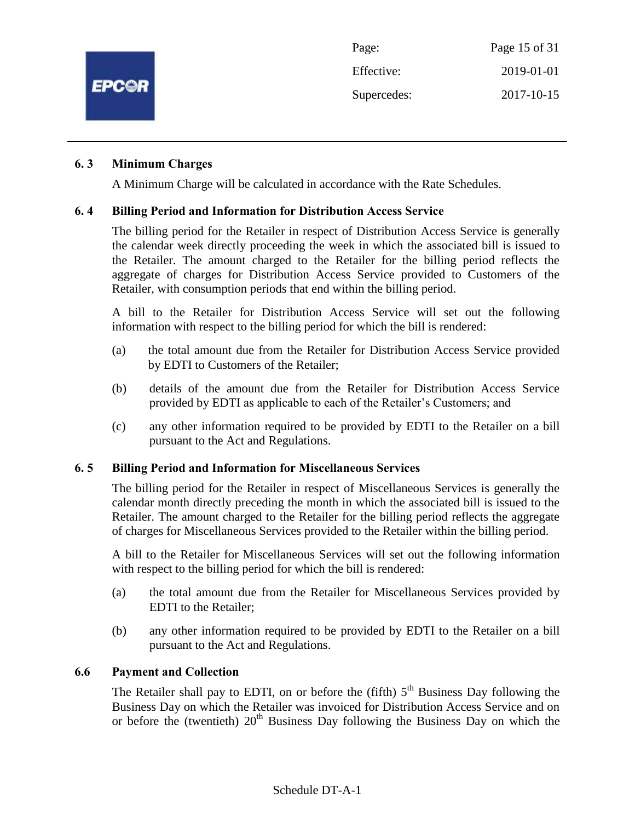

# **6. 3 Minimum Charges**

A Minimum Charge will be calculated in accordance with the Rate Schedules.

## **6. 4 Billing Period and Information for Distribution Access Service**

The billing period for the Retailer in respect of Distribution Access Service is generally the calendar week directly proceeding the week in which the associated bill is issued to the Retailer. The amount charged to the Retailer for the billing period reflects the aggregate of charges for Distribution Access Service provided to Customers of the Retailer, with consumption periods that end within the billing period.

A bill to the Retailer for Distribution Access Service will set out the following information with respect to the billing period for which the bill is rendered:

- (a) the total amount due from the Retailer for Distribution Access Service provided by EDTI to Customers of the Retailer;
- (b) details of the amount due from the Retailer for Distribution Access Service provided by EDTI as applicable to each of the Retailer's Customers; and
- (c) any other information required to be provided by EDTI to the Retailer on a bill pursuant to the Act and Regulations.

#### **6. 5 Billing Period and Information for Miscellaneous Services**

The billing period for the Retailer in respect of Miscellaneous Services is generally the calendar month directly preceding the month in which the associated bill is issued to the Retailer. The amount charged to the Retailer for the billing period reflects the aggregate of charges for Miscellaneous Services provided to the Retailer within the billing period.

A bill to the Retailer for Miscellaneous Services will set out the following information with respect to the billing period for which the bill is rendered:

- (a) the total amount due from the Retailer for Miscellaneous Services provided by EDTI to the Retailer;
- (b) any other information required to be provided by EDTI to the Retailer on a bill pursuant to the Act and Regulations.

#### **6.6 Payment and Collection**

The Retailer shall pay to EDTI, on or before the (fifth)  $5<sup>th</sup>$  Business Day following the Business Day on which the Retailer was invoiced for Distribution Access Service and on or before the (twentieth)  $20<sup>th</sup>$  Business Day following the Business Day on which the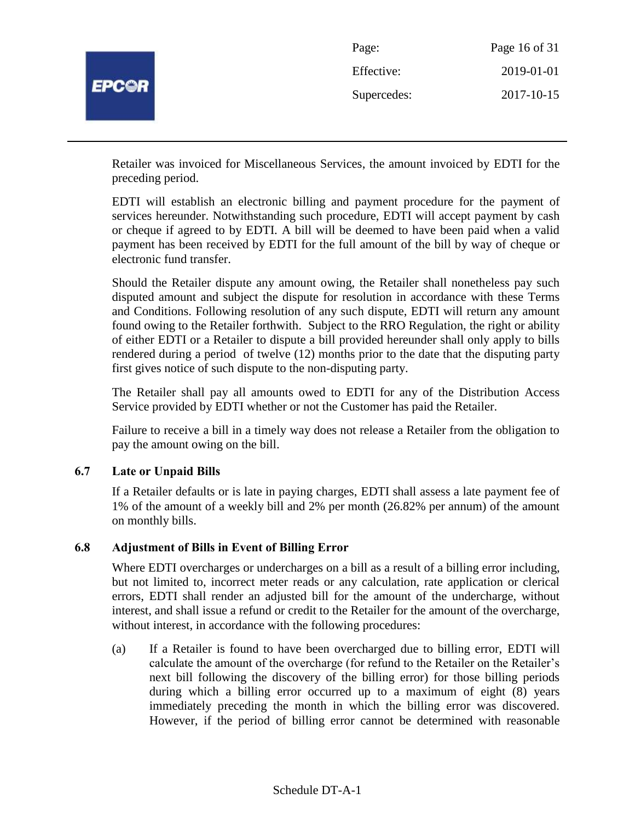

Retailer was invoiced for Miscellaneous Services, the amount invoiced by EDTI for the preceding period.

EDTI will establish an electronic billing and payment procedure for the payment of services hereunder. Notwithstanding such procedure, EDTI will accept payment by cash or cheque if agreed to by EDTI. A bill will be deemed to have been paid when a valid payment has been received by EDTI for the full amount of the bill by way of cheque or electronic fund transfer.

Should the Retailer dispute any amount owing, the Retailer shall nonetheless pay such disputed amount and subject the dispute for resolution in accordance with these Terms and Conditions. Following resolution of any such dispute, EDTI will return any amount found owing to the Retailer forthwith. Subject to the RRO Regulation, the right or ability of either EDTI or a Retailer to dispute a bill provided hereunder shall only apply to bills rendered during a period of twelve (12) months prior to the date that the disputing party first gives notice of such dispute to the non-disputing party.

The Retailer shall pay all amounts owed to EDTI for any of the Distribution Access Service provided by EDTI whether or not the Customer has paid the Retailer.

Failure to receive a bill in a timely way does not release a Retailer from the obligation to pay the amount owing on the bill.

# **6.7 Late or Unpaid Bills**

If a Retailer defaults or is late in paying charges, EDTI shall assess a late payment fee of 1% of the amount of a weekly bill and 2% per month (26.82% per annum) of the amount on monthly bills.

#### **6.8 Adjustment of Bills in Event of Billing Error**

Where EDTI overcharges or undercharges on a bill as a result of a billing error including, but not limited to, incorrect meter reads or any calculation, rate application or clerical errors, EDTI shall render an adjusted bill for the amount of the undercharge, without interest, and shall issue a refund or credit to the Retailer for the amount of the overcharge, without interest, in accordance with the following procedures:

(a) If a Retailer is found to have been overcharged due to billing error, EDTI will calculate the amount of the overcharge (for refund to the Retailer on the Retailer's next bill following the discovery of the billing error) for those billing periods during which a billing error occurred up to a maximum of eight (8) years immediately preceding the month in which the billing error was discovered. However, if the period of billing error cannot be determined with reasonable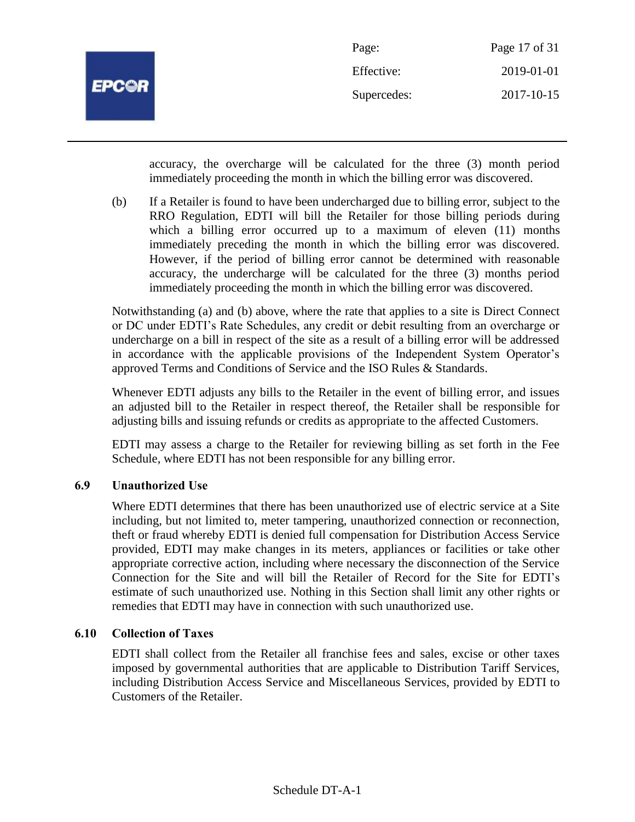

| Page:       | Page 17 of 31 |
|-------------|---------------|
| Effective:  | 2019-01-01    |
| Supercedes: | 2017-10-15    |

accuracy, the overcharge will be calculated for the three (3) month period immediately proceeding the month in which the billing error was discovered.

(b) If a Retailer is found to have been undercharged due to billing error, subject to the RRO Regulation, EDTI will bill the Retailer for those billing periods during which a billing error occurred up to a maximum of eleven (11) months immediately preceding the month in which the billing error was discovered. However, if the period of billing error cannot be determined with reasonable accuracy, the undercharge will be calculated for the three (3) months period immediately proceeding the month in which the billing error was discovered.

Notwithstanding (a) and (b) above, where the rate that applies to a site is Direct Connect or DC under EDTI's Rate Schedules, any credit or debit resulting from an overcharge or undercharge on a bill in respect of the site as a result of a billing error will be addressed in accordance with the applicable provisions of the Independent System Operator's approved Terms and Conditions of Service and the ISO Rules & Standards.

Whenever EDTI adjusts any bills to the Retailer in the event of billing error, and issues an adjusted bill to the Retailer in respect thereof, the Retailer shall be responsible for adjusting bills and issuing refunds or credits as appropriate to the affected Customers.

EDTI may assess a charge to the Retailer for reviewing billing as set forth in the Fee Schedule, where EDTI has not been responsible for any billing error.

# **6.9 Unauthorized Use**

Where EDTI determines that there has been unauthorized use of electric service at a Site including, but not limited to, meter tampering, unauthorized connection or reconnection, theft or fraud whereby EDTI is denied full compensation for Distribution Access Service provided, EDTI may make changes in its meters, appliances or facilities or take other appropriate corrective action, including where necessary the disconnection of the Service Connection for the Site and will bill the Retailer of Record for the Site for EDTI's estimate of such unauthorized use. Nothing in this Section shall limit any other rights or remedies that EDTI may have in connection with such unauthorized use.

# **6.10 Collection of Taxes**

EDTI shall collect from the Retailer all franchise fees and sales, excise or other taxes imposed by governmental authorities that are applicable to Distribution Tariff Services, including Distribution Access Service and Miscellaneous Services, provided by EDTI to Customers of the Retailer.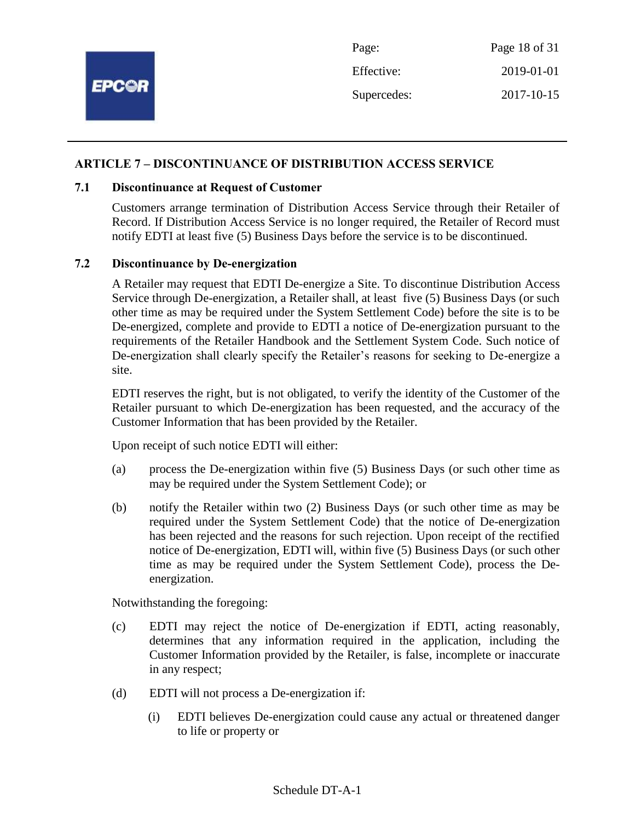

## **ARTICLE 7 – DISCONTINUANCE OF DISTRIBUTION ACCESS SERVICE**

#### **7.1 Discontinuance at Request of Customer**

Customers arrange termination of Distribution Access Service through their Retailer of Record. If Distribution Access Service is no longer required, the Retailer of Record must notify EDTI at least five (5) Business Days before the service is to be discontinued.

#### **7.2 Discontinuance by De-energization**

A Retailer may request that EDTI De-energize a Site. To discontinue Distribution Access Service through De-energization, a Retailer shall, at least five (5) Business Days (or such other time as may be required under the System Settlement Code) before the site is to be De-energized, complete and provide to EDTI a notice of De-energization pursuant to the requirements of the Retailer Handbook and the Settlement System Code. Such notice of De-energization shall clearly specify the Retailer's reasons for seeking to De-energize a site.

EDTI reserves the right, but is not obligated, to verify the identity of the Customer of the Retailer pursuant to which De-energization has been requested, and the accuracy of the Customer Information that has been provided by the Retailer.

Upon receipt of such notice EDTI will either:

- (a) process the De-energization within five (5) Business Days (or such other time as may be required under the System Settlement Code); or
- (b) notify the Retailer within two (2) Business Days (or such other time as may be required under the System Settlement Code) that the notice of De-energization has been rejected and the reasons for such rejection. Upon receipt of the rectified notice of De-energization, EDTI will, within five (5) Business Days (or such other time as may be required under the System Settlement Code), process the Deenergization.

Notwithstanding the foregoing:

- (c) EDTI may reject the notice of De-energization if EDTI, acting reasonably, determines that any information required in the application, including the Customer Information provided by the Retailer, is false, incomplete or inaccurate in any respect;
- (d) EDTI will not process a De-energization if:
	- (i) EDTI believes De-energization could cause any actual or threatened danger to life or property or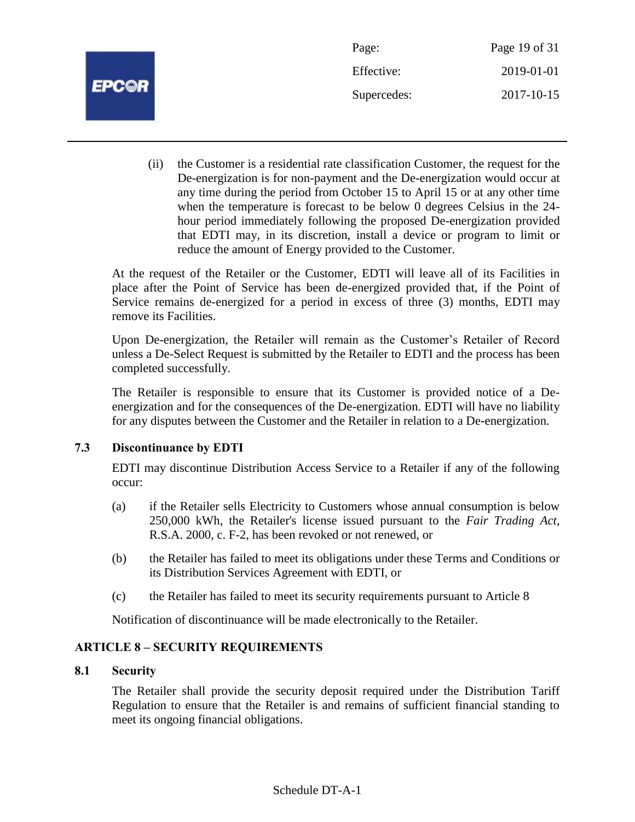

| Page:       | Page 19 of 31 |
|-------------|---------------|
| Effective:  | 2019-01-01    |
| Supercedes: | 2017-10-15    |

(ii) the Customer is a residential rate classification Customer, the request for the De-energization is for non-payment and the De-energization would occur at any time during the period from October 15 to April 15 or at any other time when the temperature is forecast to be below 0 degrees Celsius in the 24 hour period immediately following the proposed De-energization provided that EDTI may, in its discretion, install a device or program to limit or reduce the amount of Energy provided to the Customer.

At the request of the Retailer or the Customer, EDTI will leave all of its Facilities in place after the Point of Service has been de-energized provided that, if the Point of Service remains de-energized for a period in excess of three (3) months, EDTI may remove its Facilities.

Upon De-energization, the Retailer will remain as the Customer's Retailer of Record unless a De-Select Request is submitted by the Retailer to EDTI and the process has been completed successfully.

The Retailer is responsible to ensure that its Customer is provided notice of a Deenergization and for the consequences of the De-energization. EDTI will have no liability for any disputes between the Customer and the Retailer in relation to a De-energization.

# **7.3 Discontinuance by EDTI**

EDTI may discontinue Distribution Access Service to a Retailer if any of the following occur:

- (a) if the Retailer sells Electricity to Customers whose annual consumption is below 250,000 kWh, the Retailer's license issued pursuant to the *Fair Trading Act,* R.S.A. 2000, c. F-2, has been revoked or not renewed, or
- (b) the Retailer has failed to meet its obligations under these Terms and Conditions or its Distribution Services Agreement with EDTI, or
- (c) the Retailer has failed to meet its security requirements pursuant to Article 8

Notification of discontinuance will be made electronically to the Retailer.

# **ARTICLE 8 – SECURITY REQUIREMENTS**

# **8.1 Security**

The Retailer shall provide the security deposit required under the Distribution Tariff Regulation to ensure that the Retailer is and remains of sufficient financial standing to meet its ongoing financial obligations.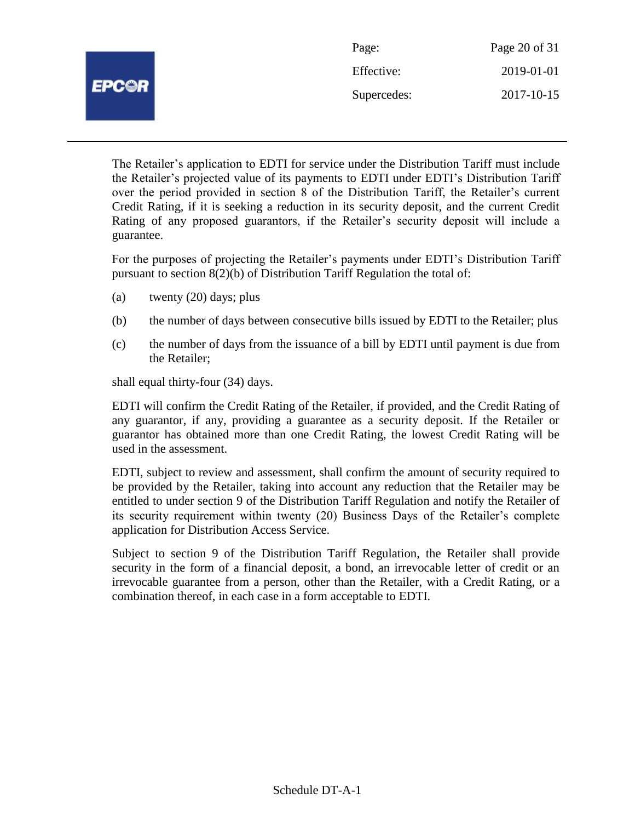|              | Page:       | Page 20 of 31 |
|--------------|-------------|---------------|
| <b>EPCOR</b> | Effective:  | 2019-01-01    |
|              | Supercedes: | 2017-10-15    |
|              |             |               |

The Retailer's application to EDTI for service under the Distribution Tariff must include the Retailer's projected value of its payments to EDTI under EDTI's Distribution Tariff over the period provided in section 8 of the Distribution Tariff, the Retailer's current Credit Rating, if it is seeking a reduction in its security deposit, and the current Credit Rating of any proposed guarantors, if the Retailer's security deposit will include a guarantee.

For the purposes of projecting the Retailer's payments under EDTI's Distribution Tariff pursuant to section 8(2)(b) of Distribution Tariff Regulation the total of:

- (a) twenty (20) days; plus
- (b) the number of days between consecutive bills issued by EDTI to the Retailer; plus
- (c) the number of days from the issuance of a bill by EDTI until payment is due from the Retailer;

shall equal thirty-four (34) days.

EDTI will confirm the Credit Rating of the Retailer, if provided, and the Credit Rating of any guarantor, if any, providing a guarantee as a security deposit. If the Retailer or guarantor has obtained more than one Credit Rating, the lowest Credit Rating will be used in the assessment.

EDTI, subject to review and assessment, shall confirm the amount of security required to be provided by the Retailer, taking into account any reduction that the Retailer may be entitled to under section 9 of the Distribution Tariff Regulation and notify the Retailer of its security requirement within twenty (20) Business Days of the Retailer's complete application for Distribution Access Service.

Subject to section 9 of the Distribution Tariff Regulation, the Retailer shall provide security in the form of a financial deposit, a bond, an irrevocable letter of credit or an irrevocable guarantee from a person, other than the Retailer, with a Credit Rating, or a combination thereof, in each case in a form acceptable to EDTI.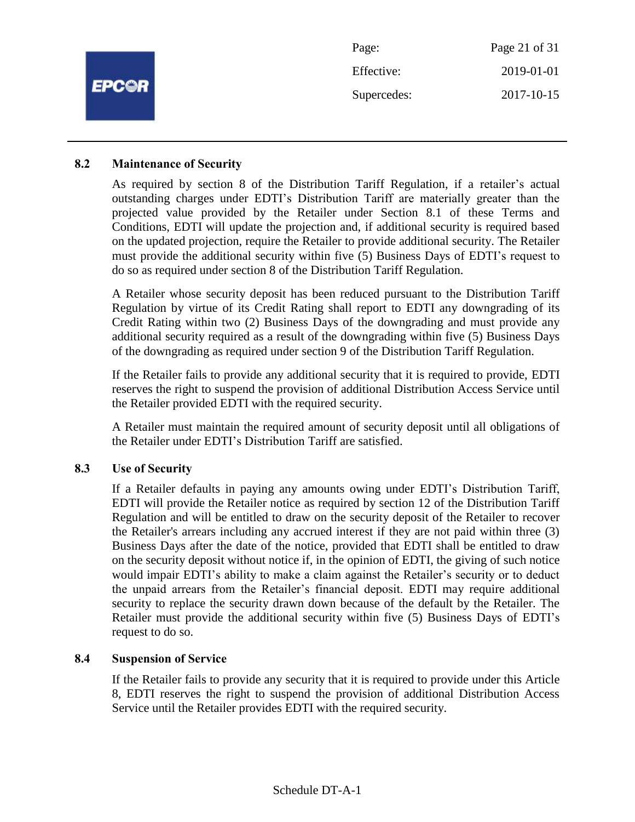| <b>EPC@R</b> | Page:       | Page 21 of 31 |
|--------------|-------------|---------------|
|              | Effective:  | 2019-01-01    |
|              | Supercedes: | 2017-10-15    |
|              |             |               |

#### **8.2 Maintenance of Security**

As required by section 8 of the Distribution Tariff Regulation, if a retailer's actual outstanding charges under EDTI's Distribution Tariff are materially greater than the projected value provided by the Retailer under Section 8.1 of these Terms and Conditions, EDTI will update the projection and, if additional security is required based on the updated projection, require the Retailer to provide additional security. The Retailer must provide the additional security within five (5) Business Days of EDTI's request to do so as required under section 8 of the Distribution Tariff Regulation.

A Retailer whose security deposit has been reduced pursuant to the Distribution Tariff Regulation by virtue of its Credit Rating shall report to EDTI any downgrading of its Credit Rating within two (2) Business Days of the downgrading and must provide any additional security required as a result of the downgrading within five (5) Business Days of the downgrading as required under section 9 of the Distribution Tariff Regulation.

If the Retailer fails to provide any additional security that it is required to provide, EDTI reserves the right to suspend the provision of additional Distribution Access Service until the Retailer provided EDTI with the required security.

A Retailer must maintain the required amount of security deposit until all obligations of the Retailer under EDTI's Distribution Tariff are satisfied.

#### **8.3 Use of Security**

If a Retailer defaults in paying any amounts owing under EDTI's Distribution Tariff, EDTI will provide the Retailer notice as required by section 12 of the Distribution Tariff Regulation and will be entitled to draw on the security deposit of the Retailer to recover the Retailer's arrears including any accrued interest if they are not paid within three (3) Business Days after the date of the notice, provided that EDTI shall be entitled to draw on the security deposit without notice if, in the opinion of EDTI, the giving of such notice would impair EDTI's ability to make a claim against the Retailer's security or to deduct the unpaid arrears from the Retailer's financial deposit. EDTI may require additional security to replace the security drawn down because of the default by the Retailer. The Retailer must provide the additional security within five (5) Business Days of EDTI's request to do so.

#### **8.4 Suspension of Service**

If the Retailer fails to provide any security that it is required to provide under this Article 8, EDTI reserves the right to suspend the provision of additional Distribution Access Service until the Retailer provides EDTI with the required security.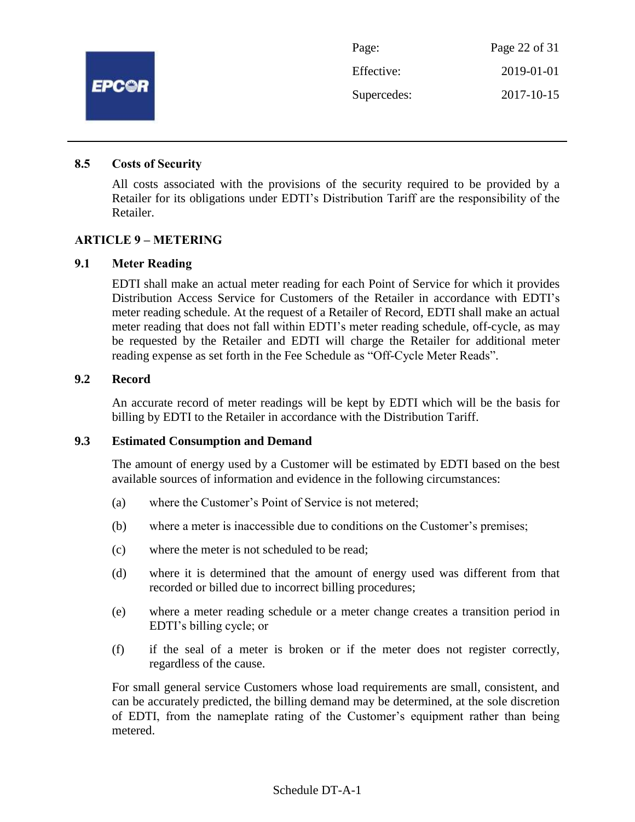

#### **8.5 Costs of Security**

All costs associated with the provisions of the security required to be provided by a Retailer for its obligations under EDTI's Distribution Tariff are the responsibility of the Retailer.

#### **ARTICLE 9 – METERING**

#### **9.1 Meter Reading**

EDTI shall make an actual meter reading for each Point of Service for which it provides Distribution Access Service for Customers of the Retailer in accordance with EDTI's meter reading schedule. At the request of a Retailer of Record, EDTI shall make an actual meter reading that does not fall within EDTI's meter reading schedule, off-cycle, as may be requested by the Retailer and EDTI will charge the Retailer for additional meter reading expense as set forth in the Fee Schedule as "Off-Cycle Meter Reads".

#### **9.2 Record**

An accurate record of meter readings will be kept by EDTI which will be the basis for billing by EDTI to the Retailer in accordance with the Distribution Tariff.

#### **9.3 Estimated Consumption and Demand**

The amount of energy used by a Customer will be estimated by EDTI based on the best available sources of information and evidence in the following circumstances:

- (a) where the Customer's Point of Service is not metered;
- (b) where a meter is inaccessible due to conditions on the Customer's premises;
- (c) where the meter is not scheduled to be read;
- (d) where it is determined that the amount of energy used was different from that recorded or billed due to incorrect billing procedures;
- (e) where a meter reading schedule or a meter change creates a transition period in EDTI's billing cycle; or
- (f) if the seal of a meter is broken or if the meter does not register correctly, regardless of the cause.

For small general service Customers whose load requirements are small, consistent, and can be accurately predicted, the billing demand may be determined, at the sole discretion of EDTI, from the nameplate rating of the Customer's equipment rather than being metered.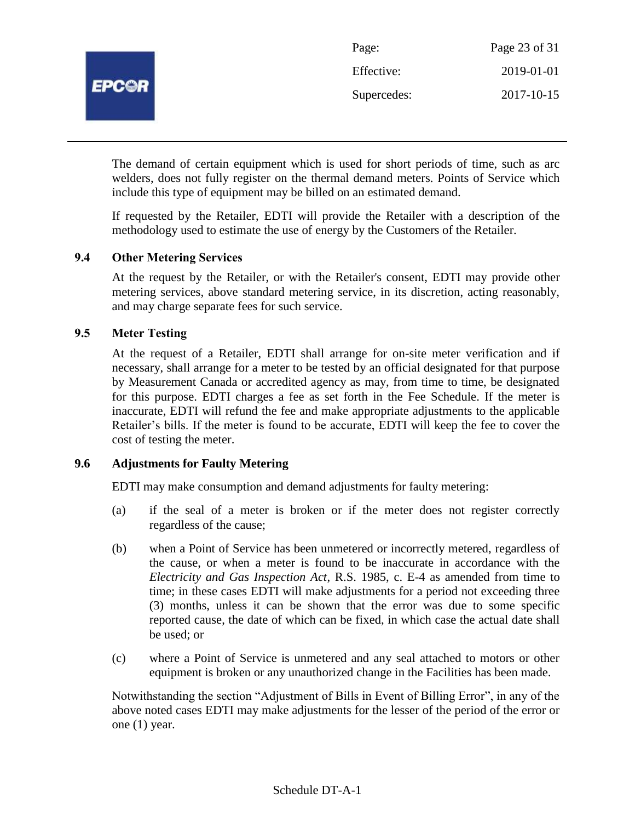

The demand of certain equipment which is used for short periods of time, such as arc welders, does not fully register on the thermal demand meters. Points of Service which include this type of equipment may be billed on an estimated demand.

If requested by the Retailer, EDTI will provide the Retailer with a description of the methodology used to estimate the use of energy by the Customers of the Retailer.

# **9.4 Other Metering Services**

At the request by the Retailer, or with the Retailer's consent, EDTI may provide other metering services, above standard metering service, in its discretion, acting reasonably, and may charge separate fees for such service.

## **9.5 Meter Testing**

At the request of a Retailer, EDTI shall arrange for on-site meter verification and if necessary, shall arrange for a meter to be tested by an official designated for that purpose by Measurement Canada or accredited agency as may, from time to time, be designated for this purpose. EDTI charges a fee as set forth in the Fee Schedule. If the meter is inaccurate, EDTI will refund the fee and make appropriate adjustments to the applicable Retailer's bills. If the meter is found to be accurate, EDTI will keep the fee to cover the cost of testing the meter.

## **9.6 Adjustments for Faulty Metering**

EDTI may make consumption and demand adjustments for faulty metering:

- (a) if the seal of a meter is broken or if the meter does not register correctly regardless of the cause;
- (b) when a Point of Service has been unmetered or incorrectly metered, regardless of the cause, or when a meter is found to be inaccurate in accordance with the *Electricity and Gas Inspection Act*, R.S. 1985, c. E-4 as amended from time to time; in these cases EDTI will make adjustments for a period not exceeding three (3) months, unless it can be shown that the error was due to some specific reported cause, the date of which can be fixed, in which case the actual date shall be used; or
- (c) where a Point of Service is unmetered and any seal attached to motors or other equipment is broken or any unauthorized change in the Facilities has been made.

Notwithstanding the section "Adjustment of Bills in Event of Billing Error", in any of the above noted cases EDTI may make adjustments for the lesser of the period of the error or one (1) year.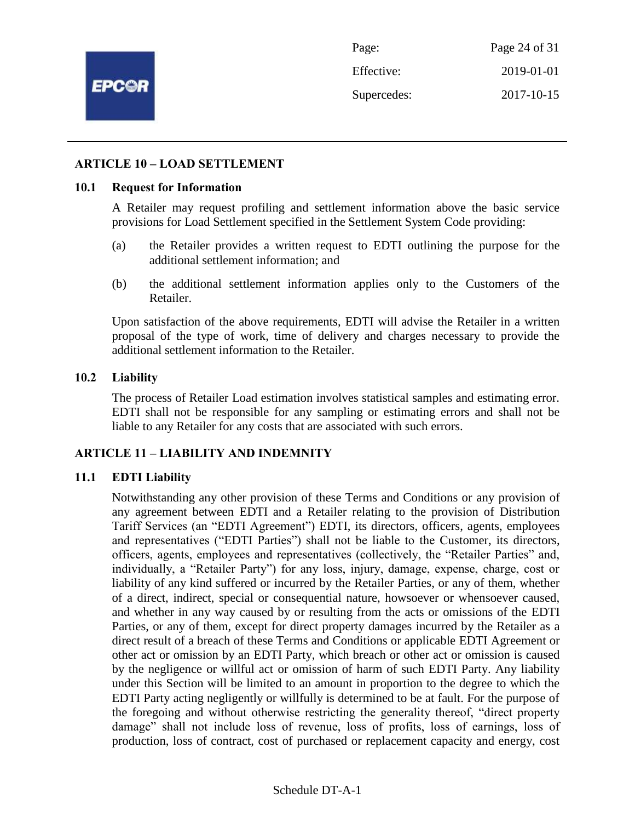

Page: Page 24 of 31 Effective: 2019-01-01 Supercedes: 2017-10-15

#### **ARTICLE 10 – LOAD SETTLEMENT**

#### **10.1 Request for Information**

A Retailer may request profiling and settlement information above the basic service provisions for Load Settlement specified in the Settlement System Code providing:

- (a) the Retailer provides a written request to EDTI outlining the purpose for the additional settlement information; and
- (b) the additional settlement information applies only to the Customers of the Retailer.

Upon satisfaction of the above requirements, EDTI will advise the Retailer in a written proposal of the type of work, time of delivery and charges necessary to provide the additional settlement information to the Retailer.

#### **10.2 Liability**

The process of Retailer Load estimation involves statistical samples and estimating error. EDTI shall not be responsible for any sampling or estimating errors and shall not be liable to any Retailer for any costs that are associated with such errors.

#### **ARTICLE 11 – LIABILITY AND INDEMNITY**

#### **11.1 EDTI Liability**

Notwithstanding any other provision of these Terms and Conditions or any provision of any agreement between EDTI and a Retailer relating to the provision of Distribution Tariff Services (an "EDTI Agreement") EDTI, its directors, officers, agents, employees and representatives ("EDTI Parties") shall not be liable to the Customer, its directors, officers, agents, employees and representatives (collectively, the "Retailer Parties" and, individually, a "Retailer Party") for any loss, injury, damage, expense, charge, cost or liability of any kind suffered or incurred by the Retailer Parties, or any of them, whether of a direct, indirect, special or consequential nature, howsoever or whensoever caused, and whether in any way caused by or resulting from the acts or omissions of the EDTI Parties, or any of them, except for direct property damages incurred by the Retailer as a direct result of a breach of these Terms and Conditions or applicable EDTI Agreement or other act or omission by an EDTI Party, which breach or other act or omission is caused by the negligence or willful act or omission of harm of such EDTI Party. Any liability under this Section will be limited to an amount in proportion to the degree to which the EDTI Party acting negligently or willfully is determined to be at fault. For the purpose of the foregoing and without otherwise restricting the generality thereof, "direct property damage" shall not include loss of revenue, loss of profits, loss of earnings, loss of production, loss of contract, cost of purchased or replacement capacity and energy, cost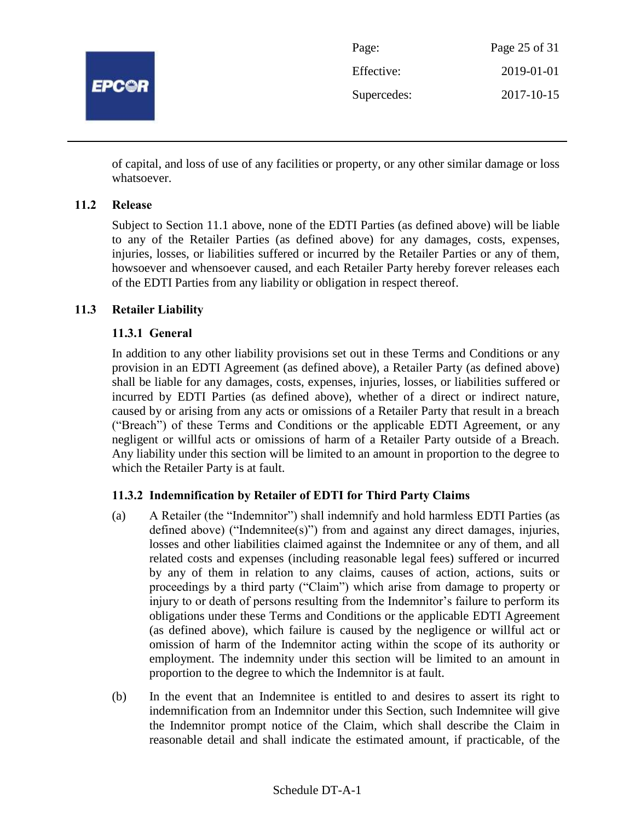

| Page:       | Page 25 of 31 |
|-------------|---------------|
| Effective:  | 2019-01-01    |
| Supercedes: | 2017-10-15    |

of capital, and loss of use of any facilities or property, or any other similar damage or loss whatsoever.

# **11.2 Release**

Subject to Section 11.1 above, none of the EDTI Parties (as defined above) will be liable to any of the Retailer Parties (as defined above) for any damages, costs, expenses, injuries, losses, or liabilities suffered or incurred by the Retailer Parties or any of them, howsoever and whensoever caused, and each Retailer Party hereby forever releases each of the EDTI Parties from any liability or obligation in respect thereof.

## **11.3 Retailer Liability**

## **11.3.1 General**

In addition to any other liability provisions set out in these Terms and Conditions or any provision in an EDTI Agreement (as defined above), a Retailer Party (as defined above) shall be liable for any damages, costs, expenses, injuries, losses, or liabilities suffered or incurred by EDTI Parties (as defined above), whether of a direct or indirect nature, caused by or arising from any acts or omissions of a Retailer Party that result in a breach ("Breach") of these Terms and Conditions or the applicable EDTI Agreement, or any negligent or willful acts or omissions of harm of a Retailer Party outside of a Breach. Any liability under this section will be limited to an amount in proportion to the degree to which the Retailer Party is at fault.

# **11.3.2 Indemnification by Retailer of EDTI for Third Party Claims**

- (a) A Retailer (the "Indemnitor") shall indemnify and hold harmless EDTI Parties (as defined above) ("Indemnitee(s)") from and against any direct damages, injuries, losses and other liabilities claimed against the Indemnitee or any of them, and all related costs and expenses (including reasonable legal fees) suffered or incurred by any of them in relation to any claims, causes of action, actions, suits or proceedings by a third party ("Claim") which arise from damage to property or injury to or death of persons resulting from the Indemnitor's failure to perform its obligations under these Terms and Conditions or the applicable EDTI Agreement (as defined above), which failure is caused by the negligence or willful act or omission of harm of the Indemnitor acting within the scope of its authority or employment. The indemnity under this section will be limited to an amount in proportion to the degree to which the Indemnitor is at fault.
- (b) In the event that an Indemnitee is entitled to and desires to assert its right to indemnification from an Indemnitor under this Section, such Indemnitee will give the Indemnitor prompt notice of the Claim, which shall describe the Claim in reasonable detail and shall indicate the estimated amount, if practicable, of the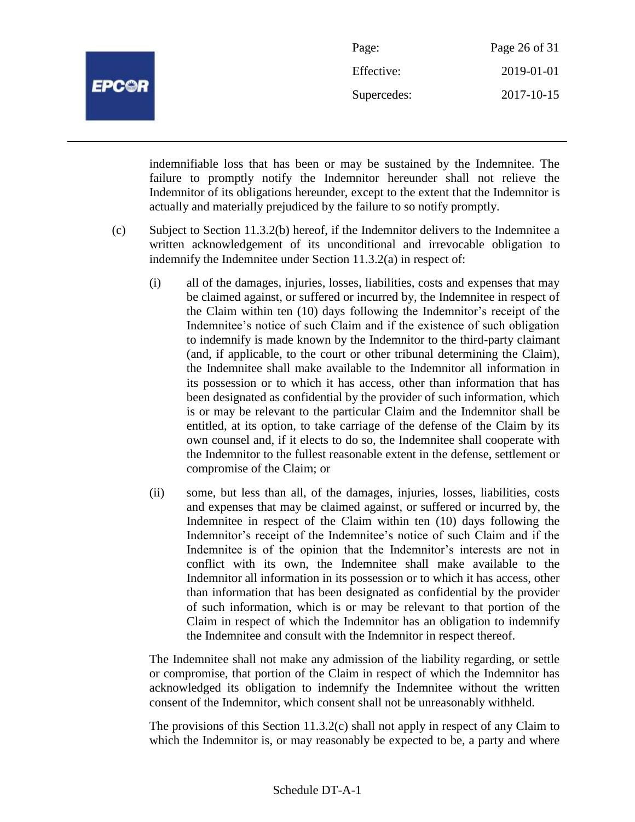

| Page:       | Page 26 of 31 |
|-------------|---------------|
| Effective:  | 2019-01-01    |
| Supercedes: | 2017-10-15    |

indemnifiable loss that has been or may be sustained by the Indemnitee. The failure to promptly notify the Indemnitor hereunder shall not relieve the Indemnitor of its obligations hereunder, except to the extent that the Indemnitor is actually and materially prejudiced by the failure to so notify promptly.

- (c) Subject to Section 11.3.2(b) hereof, if the Indemnitor delivers to the Indemnitee a written acknowledgement of its unconditional and irrevocable obligation to indemnify the Indemnitee under Section 11.3.2(a) in respect of:
	- (i) all of the damages, injuries, losses, liabilities, costs and expenses that may be claimed against, or suffered or incurred by, the Indemnitee in respect of the Claim within ten (10) days following the Indemnitor's receipt of the Indemnitee's notice of such Claim and if the existence of such obligation to indemnify is made known by the Indemnitor to the third-party claimant (and, if applicable, to the court or other tribunal determining the Claim), the Indemnitee shall make available to the Indemnitor all information in its possession or to which it has access, other than information that has been designated as confidential by the provider of such information, which is or may be relevant to the particular Claim and the Indemnitor shall be entitled, at its option, to take carriage of the defense of the Claim by its own counsel and, if it elects to do so, the Indemnitee shall cooperate with the Indemnitor to the fullest reasonable extent in the defense, settlement or compromise of the Claim; or
	- (ii) some, but less than all, of the damages, injuries, losses, liabilities, costs and expenses that may be claimed against, or suffered or incurred by, the Indemnitee in respect of the Claim within ten (10) days following the Indemnitor's receipt of the Indemnitee's notice of such Claim and if the Indemnitee is of the opinion that the Indemnitor's interests are not in conflict with its own, the Indemnitee shall make available to the Indemnitor all information in its possession or to which it has access, other than information that has been designated as confidential by the provider of such information, which is or may be relevant to that portion of the Claim in respect of which the Indemnitor has an obligation to indemnify the Indemnitee and consult with the Indemnitor in respect thereof.

The Indemnitee shall not make any admission of the liability regarding, or settle or compromise, that portion of the Claim in respect of which the Indemnitor has acknowledged its obligation to indemnify the Indemnitee without the written consent of the Indemnitor, which consent shall not be unreasonably withheld.

The provisions of this Section 11.3.2(c) shall not apply in respect of any Claim to which the Indemnitor is, or may reasonably be expected to be, a party and where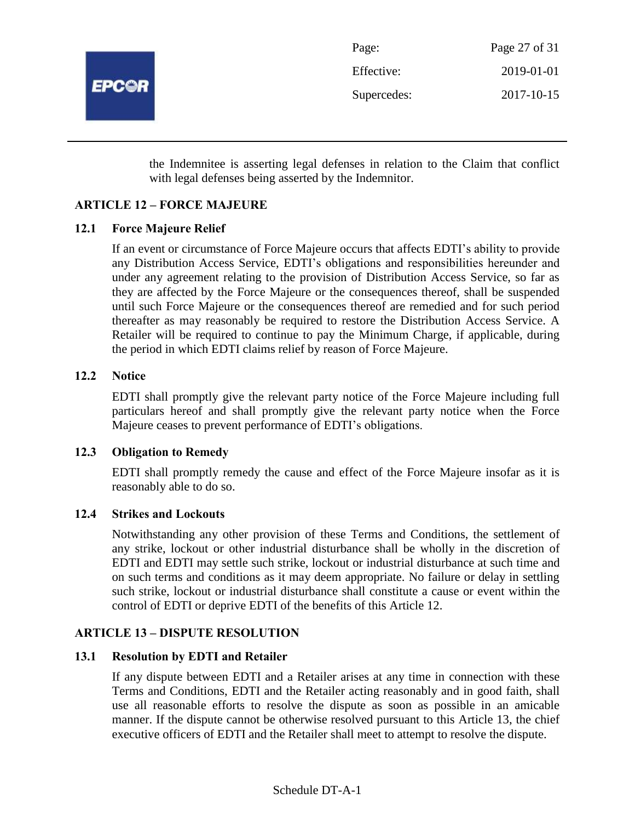

the Indemnitee is asserting legal defenses in relation to the Claim that conflict with legal defenses being asserted by the Indemnitor.

# **ARTICLE 12 – FORCE MAJEURE**

## **12.1 Force Majeure Relief**

If an event or circumstance of Force Majeure occurs that affects EDTI's ability to provide any Distribution Access Service, EDTI's obligations and responsibilities hereunder and under any agreement relating to the provision of Distribution Access Service, so far as they are affected by the Force Majeure or the consequences thereof, shall be suspended until such Force Majeure or the consequences thereof are remedied and for such period thereafter as may reasonably be required to restore the Distribution Access Service. A Retailer will be required to continue to pay the Minimum Charge, if applicable, during the period in which EDTI claims relief by reason of Force Majeure.

## **12.2 Notice**

EDTI shall promptly give the relevant party notice of the Force Majeure including full particulars hereof and shall promptly give the relevant party notice when the Force Majeure ceases to prevent performance of EDTI's obligations.

#### **12.3 Obligation to Remedy**

EDTI shall promptly remedy the cause and effect of the Force Majeure insofar as it is reasonably able to do so.

## **12.4 Strikes and Lockouts**

Notwithstanding any other provision of these Terms and Conditions, the settlement of any strike, lockout or other industrial disturbance shall be wholly in the discretion of EDTI and EDTI may settle such strike, lockout or industrial disturbance at such time and on such terms and conditions as it may deem appropriate. No failure or delay in settling such strike, lockout or industrial disturbance shall constitute a cause or event within the control of EDTI or deprive EDTI of the benefits of this Article 12.

#### **ARTICLE 13 – DISPUTE RESOLUTION**

## **13.1 Resolution by EDTI and Retailer**

If any dispute between EDTI and a Retailer arises at any time in connection with these Terms and Conditions, EDTI and the Retailer acting reasonably and in good faith, shall use all reasonable efforts to resolve the dispute as soon as possible in an amicable manner. If the dispute cannot be otherwise resolved pursuant to this Article 13, the chief executive officers of EDTI and the Retailer shall meet to attempt to resolve the dispute.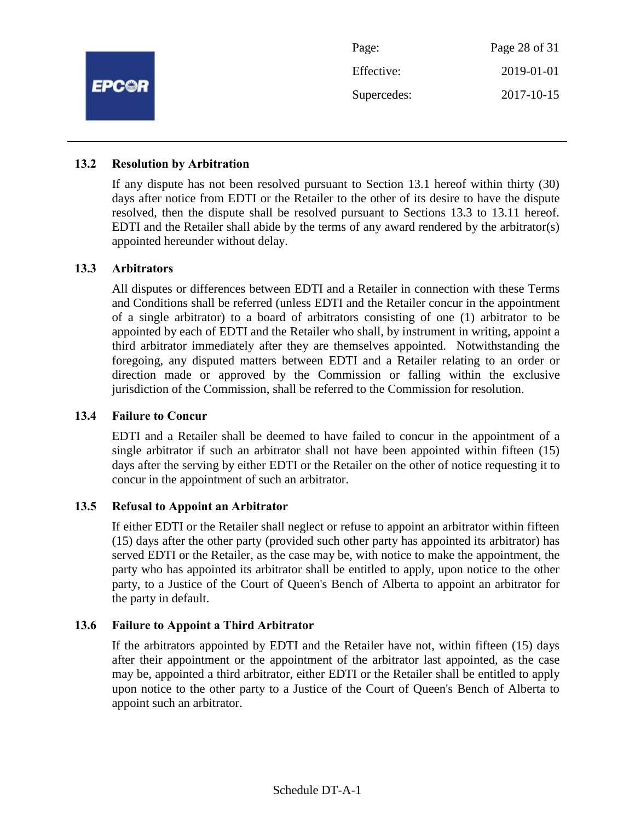

#### **13.2 Resolution by Arbitration**

If any dispute has not been resolved pursuant to Section 13.1 hereof within thirty (30) days after notice from EDTI or the Retailer to the other of its desire to have the dispute resolved, then the dispute shall be resolved pursuant to Sections 13.3 to 13.11 hereof. EDTI and the Retailer shall abide by the terms of any award rendered by the arbitrator(s) appointed hereunder without delay.

#### **13.3 Arbitrators**

All disputes or differences between EDTI and a Retailer in connection with these Terms and Conditions shall be referred (unless EDTI and the Retailer concur in the appointment of a single arbitrator) to a board of arbitrators consisting of one (1) arbitrator to be appointed by each of EDTI and the Retailer who shall, by instrument in writing, appoint a third arbitrator immediately after they are themselves appointed. Notwithstanding the foregoing, any disputed matters between EDTI and a Retailer relating to an order or direction made or approved by the Commission or falling within the exclusive jurisdiction of the Commission, shall be referred to the Commission for resolution.

#### **13.4 Failure to Concur**

EDTI and a Retailer shall be deemed to have failed to concur in the appointment of a single arbitrator if such an arbitrator shall not have been appointed within fifteen (15) days after the serving by either EDTI or the Retailer on the other of notice requesting it to concur in the appointment of such an arbitrator.

#### **13.5 Refusal to Appoint an Arbitrator**

If either EDTI or the Retailer shall neglect or refuse to appoint an arbitrator within fifteen (15) days after the other party (provided such other party has appointed its arbitrator) has served EDTI or the Retailer, as the case may be, with notice to make the appointment, the party who has appointed its arbitrator shall be entitled to apply, upon notice to the other party, to a Justice of the Court of Queen's Bench of Alberta to appoint an arbitrator for the party in default.

#### **13.6 Failure to Appoint a Third Arbitrator**

If the arbitrators appointed by EDTI and the Retailer have not, within fifteen (15) days after their appointment or the appointment of the arbitrator last appointed, as the case may be, appointed a third arbitrator, either EDTI or the Retailer shall be entitled to apply upon notice to the other party to a Justice of the Court of Queen's Bench of Alberta to appoint such an arbitrator.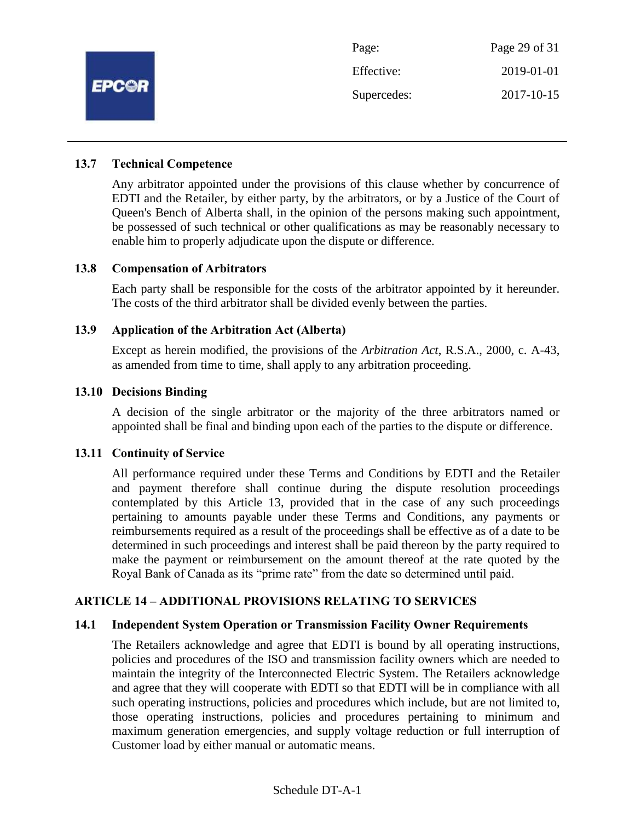

#### **13.7 Technical Competence**

Any arbitrator appointed under the provisions of this clause whether by concurrence of EDTI and the Retailer, by either party, by the arbitrators, or by a Justice of the Court of Queen's Bench of Alberta shall, in the opinion of the persons making such appointment, be possessed of such technical or other qualifications as may be reasonably necessary to enable him to properly adjudicate upon the dispute or difference.

#### **13.8 Compensation of Arbitrators**

Each party shall be responsible for the costs of the arbitrator appointed by it hereunder. The costs of the third arbitrator shall be divided evenly between the parties.

#### **13.9 Application of the Arbitration Act (Alberta)**

Except as herein modified, the provisions of the *Arbitration Act*, R.S.A., 2000, c. A-43, as amended from time to time, shall apply to any arbitration proceeding.

#### **13.10 Decisions Binding**

A decision of the single arbitrator or the majority of the three arbitrators named or appointed shall be final and binding upon each of the parties to the dispute or difference.

#### **13.11 Continuity of Service**

All performance required under these Terms and Conditions by EDTI and the Retailer and payment therefore shall continue during the dispute resolution proceedings contemplated by this Article 13, provided that in the case of any such proceedings pertaining to amounts payable under these Terms and Conditions, any payments or reimbursements required as a result of the proceedings shall be effective as of a date to be determined in such proceedings and interest shall be paid thereon by the party required to make the payment or reimbursement on the amount thereof at the rate quoted by the Royal Bank of Canada as its "prime rate" from the date so determined until paid.

## **ARTICLE 14 – ADDITIONAL PROVISIONS RELATING TO SERVICES**

#### **14.1 Independent System Operation or Transmission Facility Owner Requirements**

The Retailers acknowledge and agree that EDTI is bound by all operating instructions, policies and procedures of the ISO and transmission facility owners which are needed to maintain the integrity of the Interconnected Electric System. The Retailers acknowledge and agree that they will cooperate with EDTI so that EDTI will be in compliance with all such operating instructions, policies and procedures which include, but are not limited to, those operating instructions, policies and procedures pertaining to minimum and maximum generation emergencies, and supply voltage reduction or full interruption of Customer load by either manual or automatic means.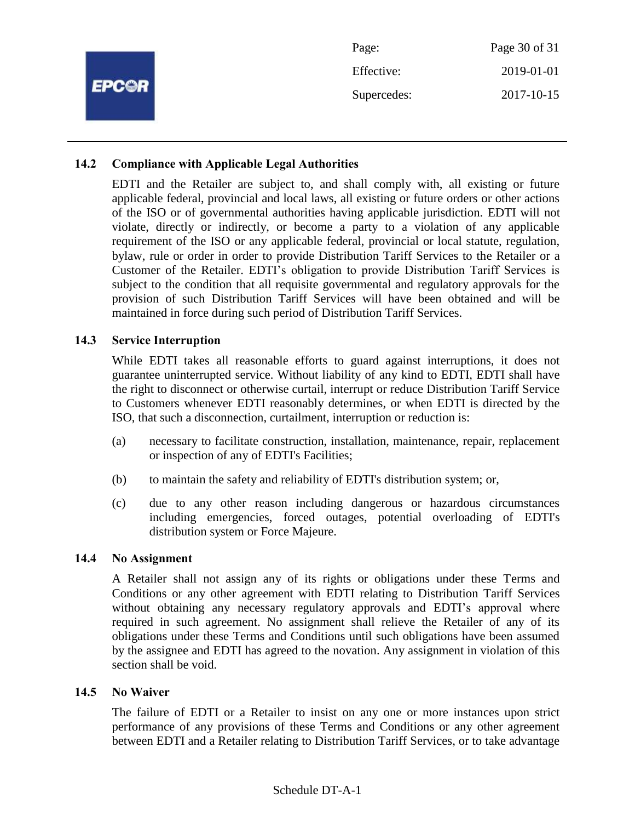|              | Page:       | Page 30 of 31 |
|--------------|-------------|---------------|
| <b>EPC@R</b> | Effective:  | 2019-01-01    |
|              | Supercedes: | 2017-10-15    |
|              |             |               |

## **14.2 Compliance with Applicable Legal Authorities**

EDTI and the Retailer are subject to, and shall comply with, all existing or future applicable federal, provincial and local laws, all existing or future orders or other actions of the ISO or of governmental authorities having applicable jurisdiction. EDTI will not violate, directly or indirectly, or become a party to a violation of any applicable requirement of the ISO or any applicable federal, provincial or local statute, regulation, bylaw, rule or order in order to provide Distribution Tariff Services to the Retailer or a Customer of the Retailer. EDTI's obligation to provide Distribution Tariff Services is subject to the condition that all requisite governmental and regulatory approvals for the provision of such Distribution Tariff Services will have been obtained and will be maintained in force during such period of Distribution Tariff Services.

#### **14.3 Service Interruption**

While EDTI takes all reasonable efforts to guard against interruptions, it does not guarantee uninterrupted service. Without liability of any kind to EDTI, EDTI shall have the right to disconnect or otherwise curtail, interrupt or reduce Distribution Tariff Service to Customers whenever EDTI reasonably determines, or when EDTI is directed by the ISO, that such a disconnection, curtailment, interruption or reduction is:

- (a) necessary to facilitate construction, installation, maintenance, repair, replacement or inspection of any of EDTI's Facilities;
- (b) to maintain the safety and reliability of EDTI's distribution system; or,
- (c) due to any other reason including dangerous or hazardous circumstances including emergencies, forced outages, potential overloading of EDTI's distribution system or Force Majeure.

#### **14.4 No Assignment**

A Retailer shall not assign any of its rights or obligations under these Terms and Conditions or any other agreement with EDTI relating to Distribution Tariff Services without obtaining any necessary regulatory approvals and EDTI's approval where required in such agreement. No assignment shall relieve the Retailer of any of its obligations under these Terms and Conditions until such obligations have been assumed by the assignee and EDTI has agreed to the novation. Any assignment in violation of this section shall be void.

#### **14.5 No Waiver**

The failure of EDTI or a Retailer to insist on any one or more instances upon strict performance of any provisions of these Terms and Conditions or any other agreement between EDTI and a Retailer relating to Distribution Tariff Services, or to take advantage